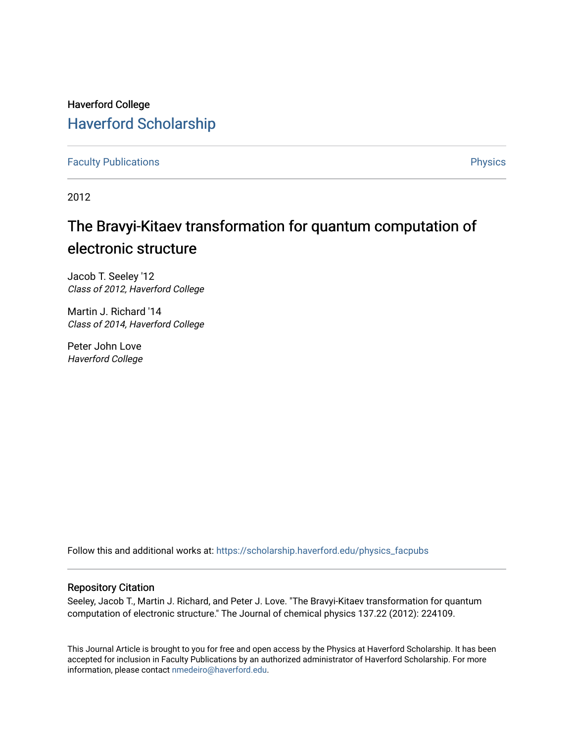# Haverford College [Haverford Scholarship](https://scholarship.haverford.edu/)

[Faculty Publications](https://scholarship.haverford.edu/physics_facpubs) **Physics** 

2012

# The Bravyi-Kitaev transformation for quantum computation of electronic structure

Jacob T. Seeley '12 Class of 2012, Haverford College

Martin J. Richard '14 Class of 2014, Haverford College

Peter John Love Haverford College

Follow this and additional works at: [https://scholarship.haverford.edu/physics\\_facpubs](https://scholarship.haverford.edu/physics_facpubs?utm_source=scholarship.haverford.edu%2Fphysics_facpubs%2F272&utm_medium=PDF&utm_campaign=PDFCoverPages) 

## Repository Citation

Seeley, Jacob T., Martin J. Richard, and Peter J. Love. "The Bravyi-Kitaev transformation for quantum computation of electronic structure." The Journal of chemical physics 137.22 (2012): 224109.

This Journal Article is brought to you for free and open access by the Physics at Haverford Scholarship. It has been accepted for inclusion in Faculty Publications by an authorized administrator of Haverford Scholarship. For more information, please contact [nmedeiro@haverford.edu.](mailto:nmedeiro@haverford.edu)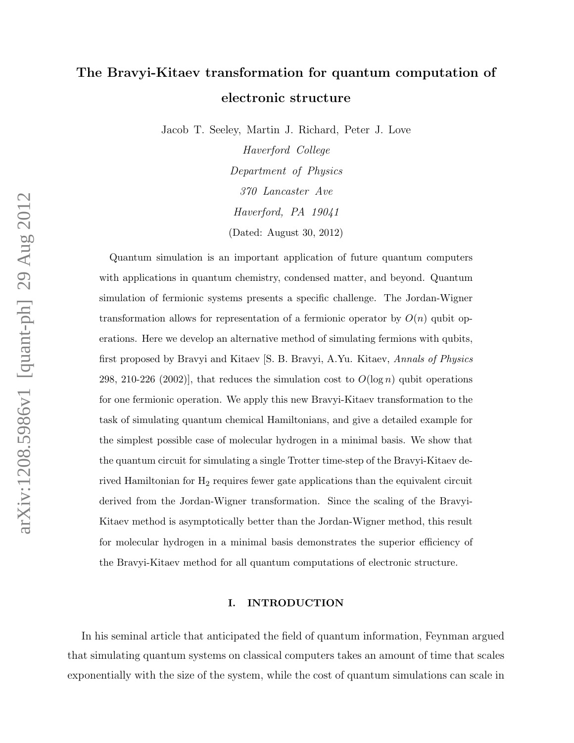# The Bravyi-Kitaev transformation for quantum computation of electronic structure

Jacob T. Seeley, Martin J. Richard, Peter J. Love

Haverford College Department of Physics 370 Lancaster Ave Haverford, PA 19041 (Dated: August 30, 2012)

Quantum simulation is an important application of future quantum computers with applications in quantum chemistry, condensed matter, and beyond. Quantum simulation of fermionic systems presents a specific challenge. The Jordan-Wigner transformation allows for representation of a fermionic operator by  $O(n)$  qubit operations. Here we develop an alternative method of simulating fermions with qubits, first proposed by Bravyi and Kitaev [S. B. Bravyi, A.Yu. Kitaev, Annals of Physics 298, 210-226 (2002)], that reduces the simulation cost to  $O(\log n)$  qubit operations for one fermionic operation. We apply this new Bravyi-Kitaev transformation to the task of simulating quantum chemical Hamiltonians, and give a detailed example for the simplest possible case of molecular hydrogen in a minimal basis. We show that the quantum circuit for simulating a single Trotter time-step of the Bravyi-Kitaev derived Hamiltonian for H<sup>2</sup> requires fewer gate applications than the equivalent circuit derived from the Jordan-Wigner transformation. Since the scaling of the Bravyi-Kitaev method is asymptotically better than the Jordan-Wigner method, this result for molecular hydrogen in a minimal basis demonstrates the superior efficiency of the Bravyi-Kitaev method for all quantum computations of electronic structure.

## I. INTRODUCTION

In his seminal article that anticipated the field of quantum information, Feynman argued that simulating quantum systems on classical computers takes an amount of time that scales exponentially with the size of the system, while the cost of quantum simulations can scale in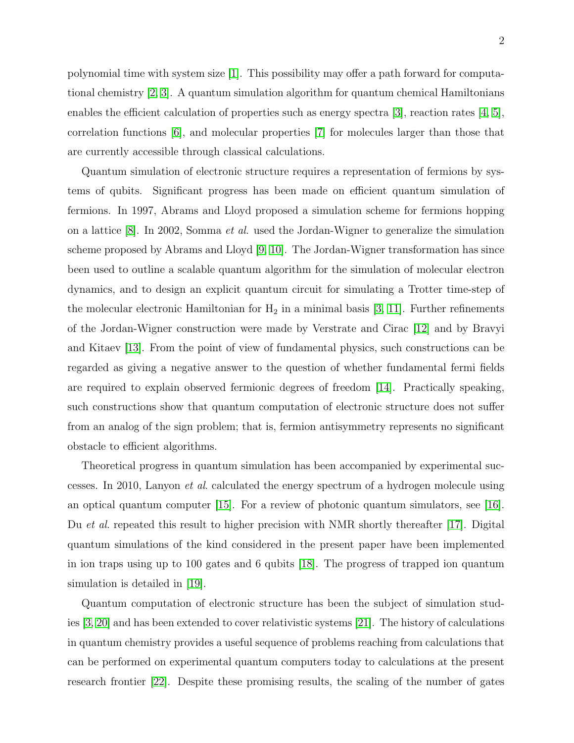polynomial time with system size [\[1\]](#page-36-0). This possibility may offer a path forward for computational chemistry [\[2,](#page-36-1) [3\]](#page-36-2). A quantum simulation algorithm for quantum chemical Hamiltonians enables the efficient calculation of properties such as energy spectra [\[3\]](#page-36-2), reaction rates [\[4,](#page-36-3) [5\]](#page-37-0), correlation functions [\[6\]](#page-37-1), and molecular properties [\[7\]](#page-37-2) for molecules larger than those that are currently accessible through classical calculations.

Quantum simulation of electronic structure requires a representation of fermions by systems of qubits. Significant progress has been made on efficient quantum simulation of fermions. In 1997, Abrams and Lloyd proposed a simulation scheme for fermions hopping on a lattice [\[8\]](#page-37-3). In 2002, Somma et al. used the Jordan-Wigner to generalize the simulation scheme proposed by Abrams and Lloyd [\[9,](#page-37-4) [10\]](#page-37-5). The Jordan-Wigner transformation has since been used to outline a scalable quantum algorithm for the simulation of molecular electron dynamics, and to design an explicit quantum circuit for simulating a Trotter time-step of the molecular electronic Hamiltonian for  $H_2$  in a minimal basis [\[3,](#page-36-2) [11\]](#page-37-6). Further refinements of the Jordan-Wigner construction were made by Verstrate and Cirac [\[12\]](#page-37-7) and by Bravyi and Kitaev [\[13\]](#page-37-8). From the point of view of fundamental physics, such constructions can be regarded as giving a negative answer to the question of whether fundamental fermi fields are required to explain observed fermionic degrees of freedom [\[14\]](#page-37-9). Practically speaking, such constructions show that quantum computation of electronic structure does not suffer from an analog of the sign problem; that is, fermion antisymmetry represents no significant obstacle to efficient algorithms.

Theoretical progress in quantum simulation has been accompanied by experimental successes. In 2010, Lanyon et al. calculated the energy spectrum of a hydrogen molecule using an optical quantum computer [\[15\]](#page-37-10). For a review of photonic quantum simulators, see [\[16\]](#page-37-11). Du *et al.* repeated this result to higher precision with NMR shortly thereafter [\[17\]](#page-37-12). Digital quantum simulations of the kind considered in the present paper have been implemented in ion traps using up to 100 gates and 6 qubits [\[18\]](#page-37-13). The progress of trapped ion quantum simulation is detailed in [\[19\]](#page-37-14).

Quantum computation of electronic structure has been the subject of simulation studies [\[3,](#page-36-2) [20\]](#page-37-15) and has been extended to cover relativistic systems [\[21\]](#page-37-16). The history of calculations in quantum chemistry provides a useful sequence of problems reaching from calculations that can be performed on experimental quantum computers today to calculations at the present research frontier [\[22\]](#page-37-17). Despite these promising results, the scaling of the number of gates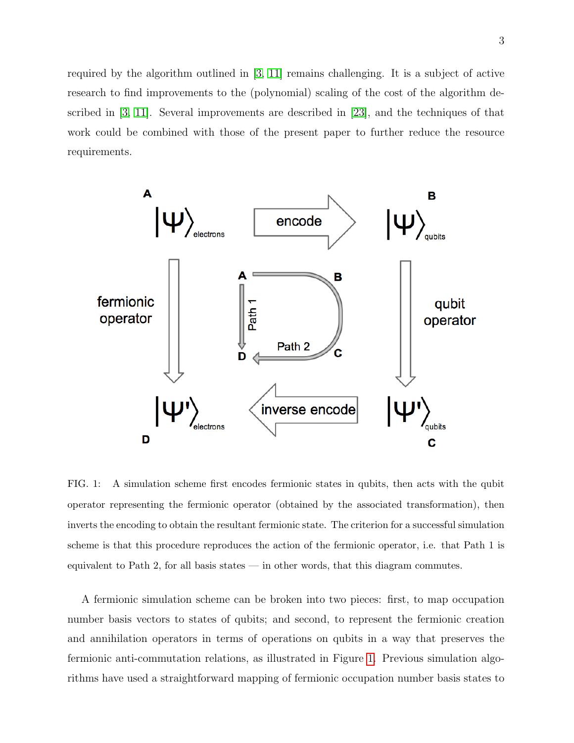required by the algorithm outlined in [\[3,](#page-36-2) [11\]](#page-37-6) remains challenging. It is a subject of active research to find improvements to the (polynomial) scaling of the cost of the algorithm described in [\[3,](#page-36-2) [11\]](#page-37-6). Several improvements are described in [\[23\]](#page-37-18), and the techniques of that work could be combined with those of the present paper to further reduce the resource requirements.



<span id="page-3-0"></span>FIG. 1: A simulation scheme first encodes fermionic states in qubits, then acts with the qubit operator representing the fermionic operator (obtained by the associated transformation), then inverts the encoding to obtain the resultant fermionic state. The criterion for a successful simulation scheme is that this procedure reproduces the action of the fermionic operator, i.e. that Path 1 is equivalent to Path 2, for all basis states — in other words, that this diagram commutes.

A fermionic simulation scheme can be broken into two pieces: first, to map occupation number basis vectors to states of qubits; and second, to represent the fermionic creation and annihilation operators in terms of operations on qubits in a way that preserves the fermionic anti-commutation relations, as illustrated in Figure [1.](#page-3-0) Previous simulation algorithms have used a straightforward mapping of fermionic occupation number basis states to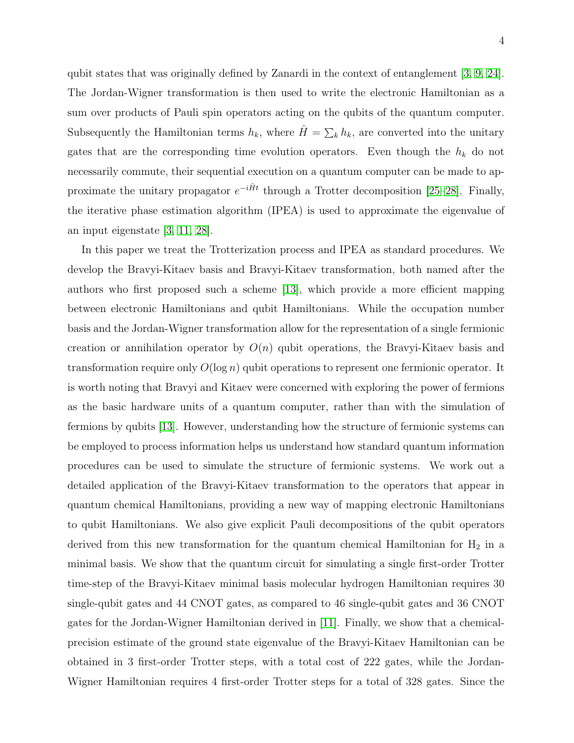qubit states that was originally defined by Zanardi in the context of entanglement [\[3,](#page-36-2) [9,](#page-37-4) [24\]](#page-37-19). The Jordan-Wigner transformation is then used to write the electronic Hamiltonian as a sum over products of Pauli spin operators acting on the qubits of the quantum computer. Subsequently the Hamiltonian terms  $h_k$ , where  $\hat{H} = \sum_k h_k$ , are converted into the unitary gates that are the corresponding time evolution operators. Even though the  $h_k$  do not necessarily commute, their sequential execution on a quantum computer can be made to approximate the unitary propagator  $e^{-i\hat{H}t}$  through a Trotter decomposition [\[25](#page-37-20)[–28\]](#page-38-0). Finally, the iterative phase estimation algorithm (IPEA) is used to approximate the eigenvalue of an input eigenstate [\[3,](#page-36-2) [11,](#page-37-6) [28\]](#page-38-0).

In this paper we treat the Trotterization process and IPEA as standard procedures. We develop the Bravyi-Kitaev basis and Bravyi-Kitaev transformation, both named after the authors who first proposed such a scheme [\[13\]](#page-37-8), which provide a more efficient mapping between electronic Hamiltonians and qubit Hamiltonians. While the occupation number basis and the Jordan-Wigner transformation allow for the representation of a single fermionic creation or annihilation operator by  $O(n)$  qubit operations, the Bravyi-Kitaev basis and transformation require only  $O(\log n)$  qubit operations to represent one fermionic operator. It is worth noting that Bravyi and Kitaev were concerned with exploring the power of fermions as the basic hardware units of a quantum computer, rather than with the simulation of fermions by qubits [\[13\]](#page-37-8). However, understanding how the structure of fermionic systems can be employed to process information helps us understand how standard quantum information procedures can be used to simulate the structure of fermionic systems. We work out a detailed application of the Bravyi-Kitaev transformation to the operators that appear in quantum chemical Hamiltonians, providing a new way of mapping electronic Hamiltonians to qubit Hamiltonians. We also give explicit Pauli decompositions of the qubit operators derived from this new transformation for the quantum chemical Hamiltonian for  $H_2$  in a minimal basis. We show that the quantum circuit for simulating a single first-order Trotter time-step of the Bravyi-Kitaev minimal basis molecular hydrogen Hamiltonian requires 30 single-qubit gates and 44 CNOT gates, as compared to 46 single-qubit gates and 36 CNOT gates for the Jordan-Wigner Hamiltonian derived in [\[11\]](#page-37-6). Finally, we show that a chemicalprecision estimate of the ground state eigenvalue of the Bravyi-Kitaev Hamiltonian can be obtained in 3 first-order Trotter steps, with a total cost of 222 gates, while the Jordan-Wigner Hamiltonian requires 4 first-order Trotter steps for a total of 328 gates. Since the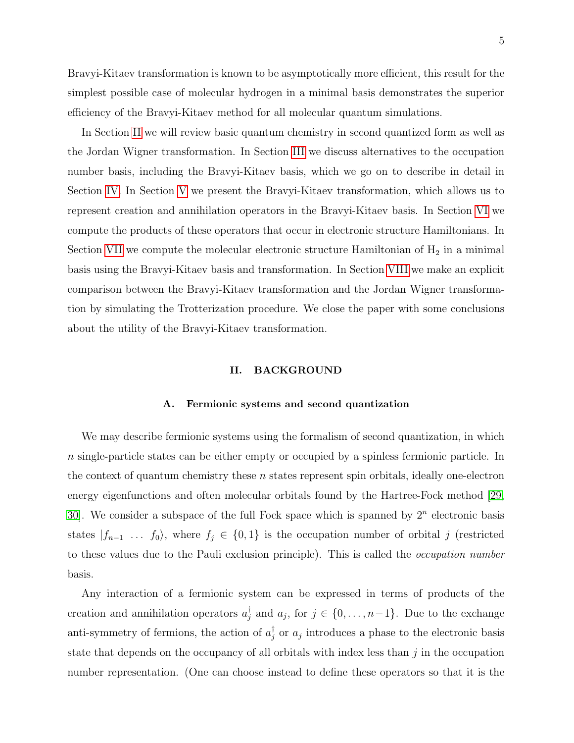5

Bravyi-Kitaev transformation is known to be asymptotically more efficient, this result for the simplest possible case of molecular hydrogen in a minimal basis demonstrates the superior efficiency of the Bravyi-Kitaev method for all molecular quantum simulations.

In Section [II](#page-5-0) we will review basic quantum chemistry in second quantized form as well as the Jordan Wigner transformation. In Section [III](#page-8-0) we discuss alternatives to the occupation number basis, including the Bravyi-Kitaev basis, which we go on to describe in detail in Section [IV.](#page-13-0) In Section [V](#page-16-0) we present the Bravyi-Kitaev transformation, which allows us to represent creation and annihilation operators in the Bravyi-Kitaev basis. In Section [VI](#page-19-0) we compute the products of these operators that occur in electronic structure Hamiltonians. In Section [VII](#page-24-0) we compute the molecular electronic structure Hamiltonian of  $H_2$  in a minimal basis using the Bravyi-Kitaev basis and transformation. In Section [VIII](#page-28-0) we make an explicit comparison between the Bravyi-Kitaev transformation and the Jordan Wigner transformation by simulating the Trotterization procedure. We close the paper with some conclusions about the utility of the Bravyi-Kitaev transformation.

### <span id="page-5-0"></span>II. BACKGROUND

### A. Fermionic systems and second quantization

We may describe fermionic systems using the formalism of second quantization, in which n single-particle states can be either empty or occupied by a spinless fermionic particle. In the context of quantum chemistry these  $n$  states represent spin orbitals, ideally one-electron energy eigenfunctions and often molecular orbitals found by the Hartree-Fock method [\[29,](#page-38-1) [30\]](#page-38-2). We consider a subspace of the full Fock space which is spanned by  $2<sup>n</sup>$  electronic basis states  $|f_{n-1} \dots f_0\rangle$ , where  $f_j \in \{0,1\}$  is the occupation number of orbital j (restricted to these values due to the Pauli exclusion principle). This is called the occupation number basis.

Any interaction of a fermionic system can be expressed in terms of products of the creation and annihilation operators  $a_j^{\dagger}$  and  $a_j$ , for  $j \in \{0, \ldots, n-1\}$ . Due to the exchange anti-symmetry of fermions, the action of  $a_j^{\dagger}$  or  $a_j$  introduces a phase to the electronic basis state that depends on the occupancy of all orbitals with index less than  $j$  in the occupation number representation. (One can choose instead to define these operators so that it is the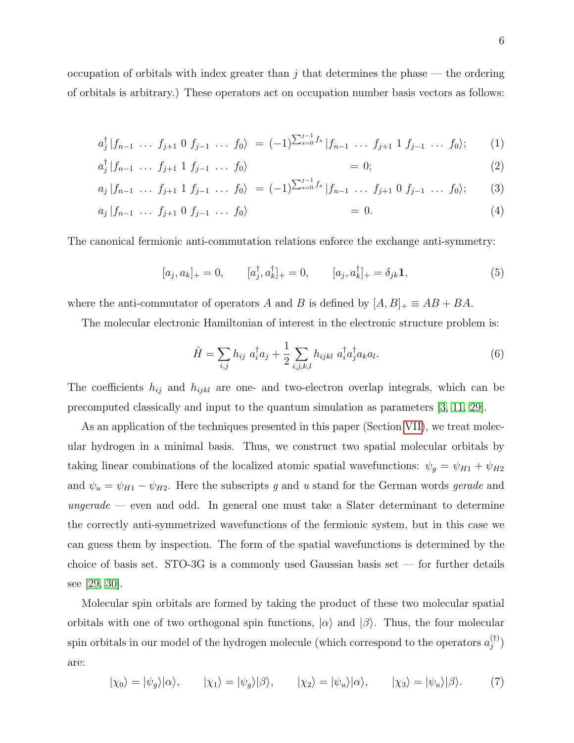occupation of orbitals with index greater than  $j$  that determines the phase  $-$  the ordering of orbitals is arbitrary.) These operators act on occupation number basis vectors as follows:

$$
a_j^{\dagger} | f_{n-1} \ \ldots \ f_{j+1} \ 0 \ f_{j-1} \ \ldots \ f_0 \rangle \ = (-1)^{\sum_{s=0}^{j-1} f_s} | f_{n-1} \ \ldots \ f_{j+1} \ 1 \ f_{j-1} \ \ldots \ f_0 \rangle; \tag{1}
$$

$$
a_j^{\dagger} | f_{n-1} \cdots f_{j+1} 1 f_{j-1} \cdots f_0 \rangle = 0; \qquad (2)
$$

$$
a_j \, | f_{n-1} \, \ldots \, f_{j+1} \, 1 \, f_{j-1} \, \ldots \, f_0 \rangle \ = (-1)^{\sum_{s=0}^{j-1} f_s} \, | f_{n-1} \, \ldots \, f_{j+1} \, 0 \, f_{j-1} \, \ldots \, f_0 \rangle; \tag{3}
$$

$$
a_j \mid f_{n-1} \ldots f_{j+1} \mid f_{j-1} \ldots f_0 \rangle = 0. \tag{4}
$$

The canonical fermionic anti-commutation relations enforce the exchange anti-symmetry:

$$
[a_j, a_k]_+ = 0, \t [a_j^{\dagger}, a_k^{\dagger}]_+ = 0, \t [a_j, a_k^{\dagger}]_+ = \delta_{jk} \mathbf{1}, \t (5)
$$

where the anti-commutator of operators A and B is defined by  $[A, B]_+ \equiv AB + BA$ .

The molecular electronic Hamiltonian of interest in the electronic structure problem is:

<span id="page-6-0"></span>
$$
\hat{H} = \sum_{i,j} h_{ij} a_i^{\dagger} a_j + \frac{1}{2} \sum_{i,j,k,l} h_{ijkl} a_i^{\dagger} a_j^{\dagger} a_k a_l.
$$
 (6)

The coefficients  $h_{ij}$  and  $h_{ijkl}$  are one- and two-electron overlap integrals, which can be precomputed classically and input to the quantum simulation as parameters [\[3,](#page-36-2) [11,](#page-37-6) [29\]](#page-38-1).

As an application of the techniques presented in this paper (Section [VII\)](#page-24-0), we treat molecular hydrogen in a minimal basis. Thus, we construct two spatial molecular orbitals by taking linear combinations of the localized atomic spatial wavefunctions:  $\psi_g = \psi_{H1} + \psi_{H2}$ and  $\psi_u = \psi_{H1} - \psi_{H2}$ . Here the subscripts g and u stand for the German words gerade and  $\mathit{ungerade}$  — even and odd. In general one must take a Slater determinant to determine the correctly anti-symmetrized wavefunctions of the fermionic system, but in this case we can guess them by inspection. The form of the spatial wavefunctions is determined by the choice of basis set. STO-3G is a commonly used Gaussian basis set — for further details see [\[29,](#page-38-1) [30\]](#page-38-2).

Molecular spin orbitals are formed by taking the product of these two molecular spatial orbitals with one of two orthogonal spin functions,  $|\alpha\rangle$  and  $|\beta\rangle$ . Thus, the four molecular spin orbitals in our model of the hydrogen molecule (which correspond to the operators  $a_i^{(\dagger)}$  $\binom{11}{j}$ are:

$$
|\chi_0\rangle = |\psi_g\rangle|\alpha\rangle, \qquad |\chi_1\rangle = |\psi_g\rangle|\beta\rangle, \qquad |\chi_2\rangle = |\psi_u\rangle|\alpha\rangle, \qquad |\chi_3\rangle = |\psi_u\rangle|\beta\rangle. \qquad (7)
$$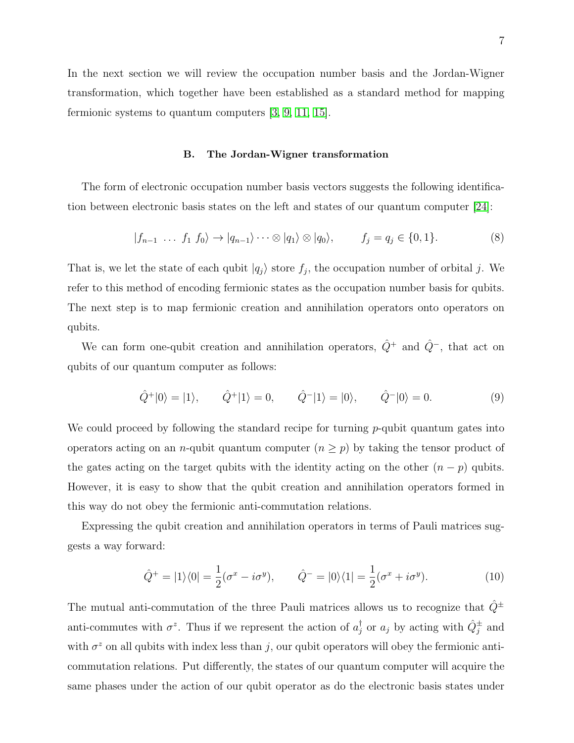In the next section we will review the occupation number basis and the Jordan-Wigner transformation, which together have been established as a standard method for mapping fermionic systems to quantum computers [\[3,](#page-36-2) [9,](#page-37-4) [11,](#page-37-6) [15\]](#page-37-10).

### B. The Jordan-Wigner transformation

The form of electronic occupation number basis vectors suggests the following identification between electronic basis states on the left and states of our quantum computer [\[24\]](#page-37-19):

$$
|f_{n-1} \dots f_1 f_0\rangle \to |q_{n-1}\rangle \dots \otimes |q_1\rangle \otimes |q_0\rangle, \qquad f_j = q_j \in \{0, 1\}.
$$
 (8)

That is, we let the state of each qubit  $|q_j\rangle$  store  $f_j$ , the occupation number of orbital j. We refer to this method of encoding fermionic states as the occupation number basis for qubits. The next step is to map fermionic creation and annihilation operators onto operators on qubits.

We can form one-qubit creation and annihilation operators,  $\hat{Q}^+$  and  $\hat{Q}^-$ , that act on qubits of our quantum computer as follows:

$$
\hat{Q}^+|0\rangle = |1\rangle, \qquad \hat{Q}^+|1\rangle = 0, \qquad \hat{Q}^-|1\rangle = |0\rangle, \qquad \hat{Q}^-|0\rangle = 0. \tag{9}
$$

We could proceed by following the standard recipe for turning  $p$ -qubit quantum gates into operators acting on an *n*-qubit quantum computer  $(n \geq p)$  by taking the tensor product of the gates acting on the target qubits with the identity acting on the other  $(n - p)$  qubits. However, it is easy to show that the qubit creation and annihilation operators formed in this way do not obey the fermionic anti-commutation relations.

Expressing the qubit creation and annihilation operators in terms of Pauli matrices suggests a way forward:

$$
\hat{Q}^+ = |1\rangle\langle 0| = \frac{1}{2}(\sigma^x - i\sigma^y), \qquad \hat{Q}^- = |0\rangle\langle 1| = \frac{1}{2}(\sigma^x + i\sigma^y). \tag{10}
$$

The mutual anti-commutation of the three Pauli matrices allows us to recognize that  $\hat{Q}^{\pm}$ anti-commutes with  $\sigma^z$ . Thus if we represent the action of  $a_j^{\dagger}$  or  $a_j$  by acting with  $\hat{Q}_j^{\pm}$  and with  $\sigma^z$  on all qubits with index less than j, our qubit operators will obey the fermionic anticommutation relations. Put differently, the states of our quantum computer will acquire the same phases under the action of our qubit operator as do the electronic basis states under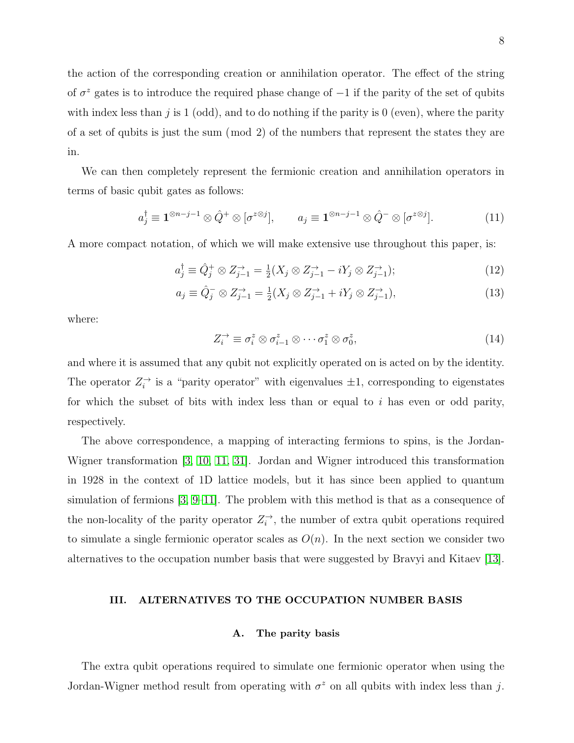the action of the corresponding creation or annihilation operator. The effect of the string of  $\sigma^z$  gates is to introduce the required phase change of  $-1$  if the parity of the set of qubits with index less than  $j$  is 1 (odd), and to do nothing if the parity is 0 (even), where the parity of a set of qubits is just the sum (mod 2) of the numbers that represent the states they are in.

We can then completely represent the fermionic creation and annihilation operators in terms of basic qubit gates as follows:

$$
a_j^{\dagger} \equiv \mathbf{1}^{\otimes n-j-1} \otimes \hat{Q}^+ \otimes [\sigma^{z \otimes j}], \qquad a_j \equiv \mathbf{1}^{\otimes n-j-1} \otimes \hat{Q}^- \otimes [\sigma^{z \otimes j}]. \tag{11}
$$

A more compact notation, of which we will make extensive use throughout this paper, is:

$$
a_j^{\dagger} \equiv \hat{Q}_j^+ \otimes Z_{j-1}^{\rightarrow} = \frac{1}{2}(X_j \otimes Z_{j-1}^{\rightarrow} - iY_j \otimes Z_{j-1}^{\rightarrow});\tag{12}
$$

$$
a_j \equiv \hat{Q}_j^- \otimes Z_{j-1}^{\rightarrow} = \frac{1}{2}(X_j \otimes Z_{j-1}^{\rightarrow} + iY_j \otimes Z_{j-1}^{\rightarrow}),
$$
\n(13)

where:

$$
Z_i^{\rightarrow} \equiv \sigma_i^z \otimes \sigma_{i-1}^z \otimes \cdots \sigma_1^z \otimes \sigma_0^z, \tag{14}
$$

and where it is assumed that any qubit not explicitly operated on is acted on by the identity. The operator  $Z_i^{\rightarrow}$  is a "parity operator" with eigenvalues  $\pm 1$ , corresponding to eigenstates for which the subset of bits with index less than or equal to  $i$  has even or odd parity, respectively.

The above correspondence, a mapping of interacting fermions to spins, is the Jordan-Wigner transformation [\[3,](#page-36-2) [10,](#page-37-5) [11,](#page-37-6) [31\]](#page-38-3). Jordan and Wigner introduced this transformation in 1928 in the context of 1D lattice models, but it has since been applied to quantum simulation of fermions [\[3,](#page-36-2) [9](#page-37-4)[–11\]](#page-37-6). The problem with this method is that as a consequence of the non-locality of the parity operator  $Z_i^{\rightarrow}$ , the number of extra qubit operations required to simulate a single fermionic operator scales as  $O(n)$ . In the next section we consider two alternatives to the occupation number basis that were suggested by Bravyi and Kitaev [\[13\]](#page-37-8).

### <span id="page-8-0"></span>III. ALTERNATIVES TO THE OCCUPATION NUMBER BASIS

### A. The parity basis

The extra qubit operations required to simulate one fermionic operator when using the Jordan-Wigner method result from operating with  $\sigma^z$  on all qubits with index less than j.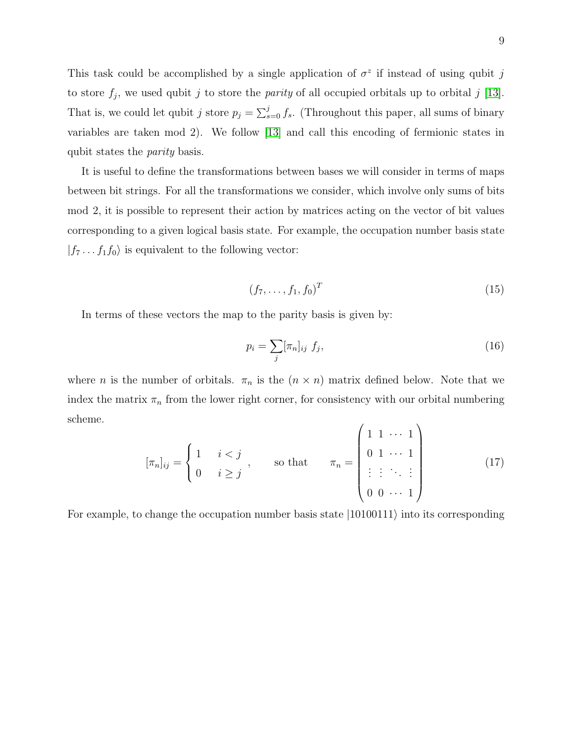This task could be accomplished by a single application of  $\sigma^z$  if instead of using qubit j to store  $f_j$ , we used qubit j to store the *parity* of all occupied orbitals up to orbital j [\[13\]](#page-37-8). That is, we could let qubit j store  $p_j = \sum_{s=0}^j f_s$ . (Throughout this paper, all sums of binary variables are taken mod 2). We follow [\[13\]](#page-37-8) and call this encoding of fermionic states in qubit states the parity basis.

It is useful to define the transformations between bases we will consider in terms of maps between bit strings. For all the transformations we consider, which involve only sums of bits mod 2, it is possible to represent their action by matrices acting on the vector of bit values corresponding to a given logical basis state. For example, the occupation number basis state  $|f_7 \dots f_1 f_0\rangle$  is equivalent to the following vector:

$$
(f_7, \ldots, f_1, f_0)^T \tag{15}
$$

In terms of these vectors the map to the parity basis is given by:

<span id="page-9-0"></span>
$$
p_i = \sum_j [\pi_n]_{ij} f_j,\tag{16}
$$

where *n* is the number of orbitals.  $\pi_n$  is the  $(n \times n)$  matrix defined below. Note that we index the matrix  $\pi_n$  from the lower right corner, for consistency with our orbital numbering scheme.  $\overline{1}$  $\lambda$ 

$$
[\pi_n]_{ij} = \begin{cases} 1 & i < j \\ 0 & i \ge j \end{cases}, \quad \text{so that} \quad \pi_n = \begin{pmatrix} 1 & 1 & \cdots & 1 \\ 0 & 1 & \cdots & 1 \\ \vdots & \vdots & \ddots & \vdots \\ 0 & 0 & \cdots & 1 \end{pmatrix}
$$
 (17)

For example, to change the occupation number basis state  $|10100111\rangle$  into its corresponding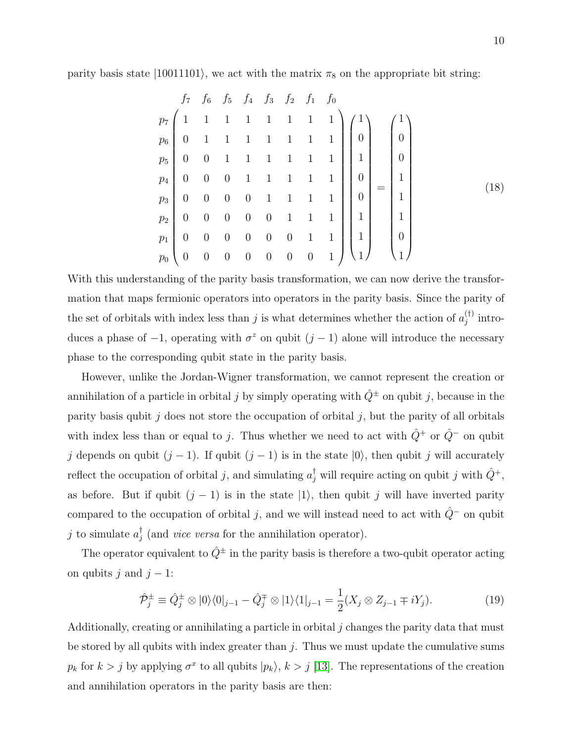parity basis state  $|10011101\rangle$ , we act with the matrix  $\pi_8$  on the appropriate bit string:

$$
\begin{array}{ccccccccc}\nf_7 & f_6 & f_5 & f_4 & f_3 & f_2 & f_1 & f_0 \\
p_7 & 1 & 1 & 1 & 1 & 1 & 1 & 1 \\
p_6 & 0 & 1 & 1 & 1 & 1 & 1 & 1 \\
p_5 & 0 & 0 & 1 & 1 & 1 & 1 & 1 \\
p_4 & 0 & 0 & 0 & 1 & 1 & 1 & 1 \\
p_7 & 0 & 0 & 0 & 0 & 1 & 1 & 1 \\
p_8 & 0 & 0 & 0 & 0 & 1 & 1 & 1 \\
p_9 & 0 & 0 & 0 & 0 & 0 & 1 & 1 \\
p_1 & 0 & 0 & 0 & 0 & 0 & 1 & 1 \\
p_0 & 0 & 0 & 0 & 0 & 0 & 1 & 1 \\
p_1 & 0 & 0 & 0 & 0 & 0 & 0 & 1\n\end{array}
$$
\n(18)

With this understanding of the parity basis transformation, we can now derive the transformation that maps fermionic operators into operators in the parity basis. Since the parity of the set of orbitals with index less than j is what determines whether the action of  $a_j^{(\dagger)}$  $j^{\left(\dagger\right)}$  introduces a phase of  $-1$ , operating with  $\sigma^z$  on qubit  $(j-1)$  alone will introduce the necessary phase to the corresponding qubit state in the parity basis.

However, unlike the Jordan-Wigner transformation, we cannot represent the creation or annihilation of a particle in orbital j by simply operating with  $\hat{Q}^{\pm}$  on qubit j, because in the parity basis qubit  $j$  does not store the occupation of orbital  $j$ , but the parity of all orbitals with index less than or equal to j. Thus whether we need to act with  $\hat{Q}^+$  or  $\hat{Q}^-$  on qubit j depends on qubit  $(j - 1)$ . If qubit  $(j - 1)$  is in the state  $|0\rangle$ , then qubit j will accurately reflect the occupation of orbital j, and simulating  $a_j^{\dagger}$  will require acting on qubit j with  $\hat{Q}^+$ , as before. But if qubit  $(j - 1)$  is in the state  $|1\rangle$ , then qubit j will have inverted parity compared to the occupation of orbital j, and we will instead need to act with  $\hat{Q}^-$  on qubit j to simulate  $a_i^{\dagger}$  $j$  (and *vice versa* for the annihilation operator).

The operator equivalent to  $\hat{Q}^{\pm}$  in the parity basis is therefore a two-qubit operator acting on qubits j and  $j - 1$ :

$$
\hat{\mathcal{P}}_j^{\pm} \equiv \hat{Q}_j^{\pm} \otimes |0\rangle\langle0|_{j-1} - \hat{Q}_j^{\mp} \otimes |1\rangle\langle1|_{j-1} = \frac{1}{2}(X_j \otimes Z_{j-1} \mp iY_j). \tag{19}
$$

Additionally, creating or annihilating a particle in orbital  $j$  changes the parity data that must be stored by all qubits with index greater than  $j$ . Thus we must update the cumulative sums  $p_k$  for  $k > j$  by applying  $\sigma^x$  to all qubits  $|p_k\rangle$ ,  $k > j$  [\[13\]](#page-37-8). The representations of the creation and annihilation operators in the parity basis are then: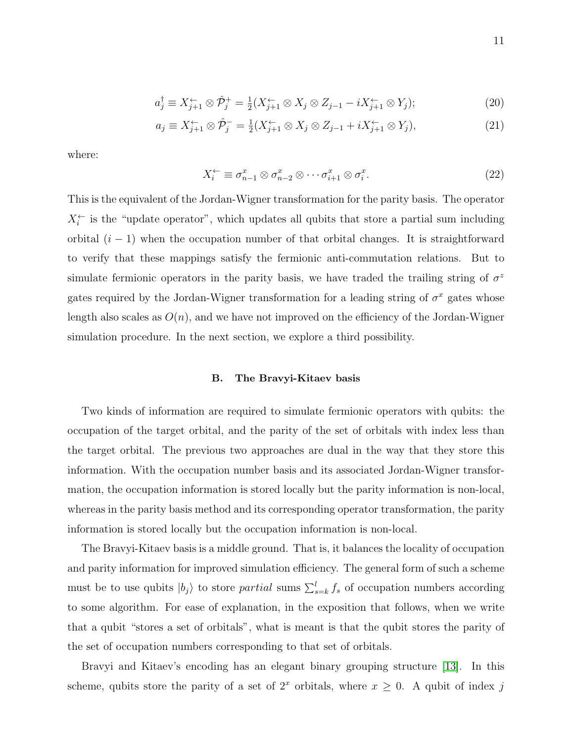$$
a_j^{\dagger} \equiv X_{j+1}^{\leftarrow} \otimes \hat{\mathcal{P}}_j^{\dagger} = \frac{1}{2} (X_{j+1}^{\leftarrow} \otimes X_j \otimes Z_{j-1} - i X_{j+1}^{\leftarrow} \otimes Y_j); \tag{20}
$$

$$
a_j \equiv X_{j+1}^{\leftarrow} \otimes \hat{\mathcal{P}}_j^- = \frac{1}{2} (X_{j+1}^{\leftarrow} \otimes X_j \otimes Z_{j-1} + i X_{j+1}^{\leftarrow} \otimes Y_j), \tag{21}
$$

where:

$$
X_i^{\leftarrow} \equiv \sigma_{n-1}^x \otimes \sigma_{n-2}^x \otimes \cdots \sigma_{i+1}^x \otimes \sigma_i^x. \tag{22}
$$

This is the equivalent of the Jordan-Wigner transformation for the parity basis. The operator  $X_i^{\leftarrow}$  is the "update operator", which updates all qubits that store a partial sum including orbital  $(i - 1)$  when the occupation number of that orbital changes. It is straightforward to verify that these mappings satisfy the fermionic anti-commutation relations. But to simulate fermionic operators in the parity basis, we have traded the trailing string of  $\sigma^z$ gates required by the Jordan-Wigner transformation for a leading string of  $\sigma^x$  gates whose length also scales as  $O(n)$ , and we have not improved on the efficiency of the Jordan-Wigner simulation procedure. In the next section, we explore a third possibility.

### B. The Bravyi-Kitaev basis

Two kinds of information are required to simulate fermionic operators with qubits: the occupation of the target orbital, and the parity of the set of orbitals with index less than the target orbital. The previous two approaches are dual in the way that they store this information. With the occupation number basis and its associated Jordan-Wigner transformation, the occupation information is stored locally but the parity information is non-local, whereas in the parity basis method and its corresponding operator transformation, the parity information is stored locally but the occupation information is non-local.

The Bravyi-Kitaev basis is a middle ground. That is, it balances the locality of occupation and parity information for improved simulation efficiency. The general form of such a scheme must be to use qubits  $|b_j\rangle$  to store *partial* sums  $\sum_{s=k}^{l} f_s$  of occupation numbers according to some algorithm. For ease of explanation, in the exposition that follows, when we write that a qubit "stores a set of orbitals", what is meant is that the qubit stores the parity of the set of occupation numbers corresponding to that set of orbitals.

Bravyi and Kitaev's encoding has an elegant binary grouping structure [\[13\]](#page-37-8). In this scheme, qubits store the parity of a set of  $2^x$  orbitals, where  $x \geq 0$ . A qubit of index j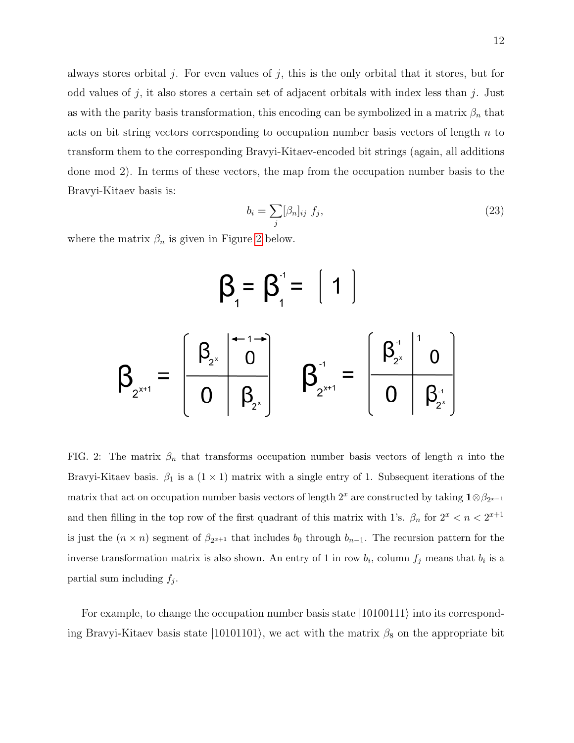always stores orbital  $j$ . For even values of  $j$ , this is the only orbital that it stores, but for odd values of j, it also stores a certain set of adjacent orbitals with index less than j. Just as with the parity basis transformation, this encoding can be symbolized in a matrix  $\beta_n$  that acts on bit string vectors corresponding to occupation number basis vectors of length  $n$  to transform them to the corresponding Bravyi-Kitaev-encoded bit strings (again, all additions done mod 2). In terms of these vectors, the map from the occupation number basis to the Bravyi-Kitaev basis is:

$$
b_i = \sum_j [\beta_n]_{ij} f_j,\tag{23}
$$

where the matrix  $\beta_n$  is given in Figure [2](#page-12-0) below.

$$
\beta_{1} = \beta_{1}^{3} = \begin{bmatrix} 1 \\ 1 \end{bmatrix}
$$

$$
\beta_{2^{x+1}} = \begin{bmatrix} \beta_{2^{x}} & \beta_{2^{x}} \\ 0 & \beta_{2^{x}} \end{bmatrix} \quad \beta_{2^{x+1}}^{3} = \begin{bmatrix} \beta_{2^{x}}^{3} & \beta_{2^{x}} \\ 0 & \beta_{2^{x}}^{3} \end{bmatrix}
$$

<span id="page-12-0"></span>FIG. 2: The matrix  $\beta_n$  that transforms occupation number basis vectors of length n into the Bravyi-Kitaev basis.  $\beta_1$  is a  $(1 \times 1)$  matrix with a single entry of 1. Subsequent iterations of the matrix that act on occupation number basis vectors of length  $2^x$  are constructed by taking  $\mathbf{1} \otimes \beta_{2^{x-1}}$ and then filling in the top row of the first quadrant of this matrix with 1's.  $\beta_n$  for  $2^x < n < 2^{x+1}$ is just the  $(n \times n)$  segment of  $\beta_{2^{x+1}}$  that includes  $b_0$  through  $b_{n-1}$ . The recursion pattern for the inverse transformation matrix is also shown. An entry of 1 in row  $b_i$ , column  $f_j$  means that  $b_i$  is a partial sum including  $f_j$ .

For example, to change the occupation number basis state  $|10100111\rangle$  into its corresponding Bravyi-Kitaev basis state  $|10101101\rangle$ , we act with the matrix  $\beta_8$  on the appropriate bit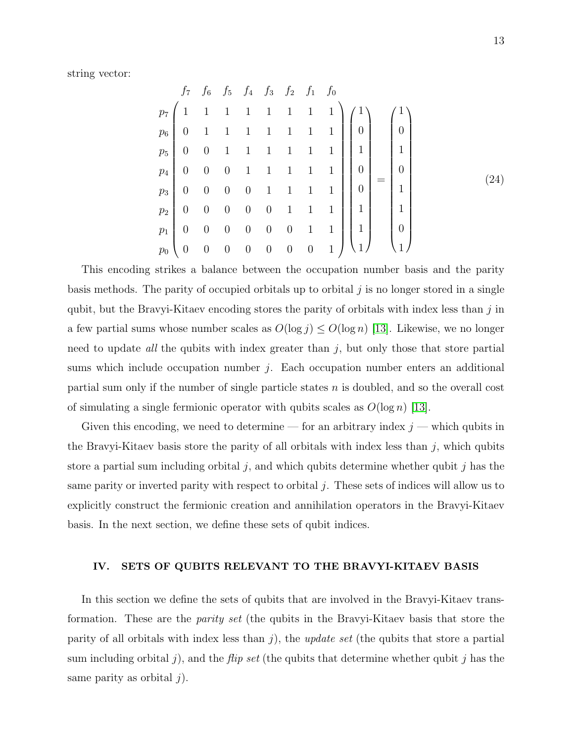string vector:

|  | $f_7$ $f_6$ $f_5$ $f_4$ $f_3$ $f_2$ $f_1$ $f_0$ |  |  |  |  |  |
|--|-------------------------------------------------|--|--|--|--|--|
|  |                                                 |  |  |  |  |  |
|  |                                                 |  |  |  |  |  |
|  |                                                 |  |  |  |  |  |
|  |                                                 |  |  |  |  |  |
|  |                                                 |  |  |  |  |  |
|  |                                                 |  |  |  |  |  |
|  |                                                 |  |  |  |  |  |
|  |                                                 |  |  |  |  |  |

This encoding strikes a balance between the occupation number basis and the parity basis methods. The parity of occupied orbitals up to orbital  $j$  is no longer stored in a single qubit, but the Bravyi-Kitaev encoding stores the parity of orbitals with index less than  $j$  in a few partial sums whose number scales as  $O(\log j) \leq O(\log n)$  [\[13\]](#page-37-8). Likewise, we no longer need to update all the qubits with index greater than  $j$ , but only those that store partial sums which include occupation number  $j$ . Each occupation number enters an additional partial sum only if the number of single particle states  $n$  is doubled, and so the overall cost of simulating a single fermionic operator with qubits scales as  $O(\log n)$  [\[13\]](#page-37-8).

Given this encoding, we need to determine — for an arbitrary index  $j$  — which qubits in the Bravyi-Kitaev basis store the parity of all orbitals with index less than  $j$ , which qubits store a partial sum including orbital  $j$ , and which qubits determine whether qubit  $j$  has the same parity or inverted parity with respect to orbital  $j$ . These sets of indices will allow us to explicitly construct the fermionic creation and annihilation operators in the Bravyi-Kitaev basis. In the next section, we define these sets of qubit indices.

### <span id="page-13-0"></span>IV. SETS OF QUBITS RELEVANT TO THE BRAVYI-KITAEV BASIS

In this section we define the sets of qubits that are involved in the Bravyi-Kitaev transformation. These are the parity set (the qubits in the Bravyi-Kitaev basis that store the parity of all orbitals with index less than  $j$ ), the *update set* (the qubits that store a partial sum including orbital j), and the *flip set* (the qubits that determine whether qubit j has the same parity as orbital  $j$ ).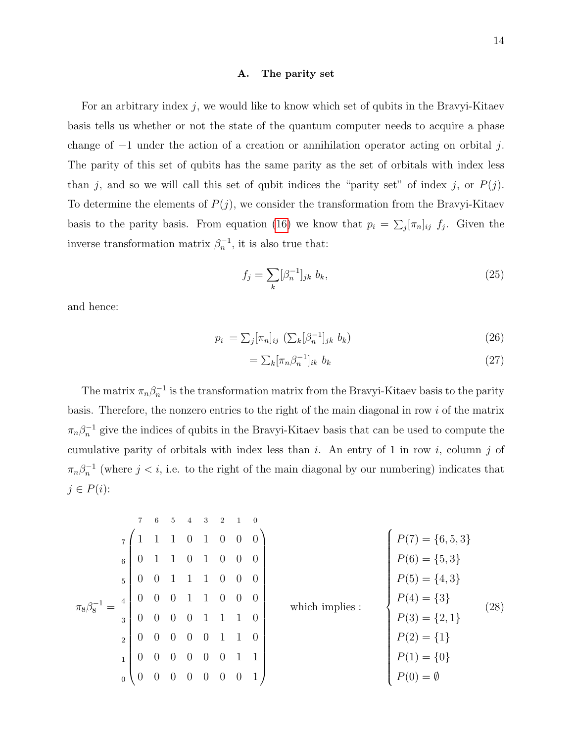### A. The parity set

For an arbitrary index j, we would like to know which set of qubits in the Bravyi-Kitaev basis tells us whether or not the state of the quantum computer needs to acquire a phase change of −1 under the action of a creation or annihilation operator acting on orbital j. The parity of this set of qubits has the same parity as the set of orbitals with index less than j, and so we will call this set of qubit indices the "parity set" of index j, or  $P(j)$ . To determine the elements of  $P(j)$ , we consider the transformation from the Bravyi-Kitaev basis to the parity basis. From equation [\(16\)](#page-9-0) we know that  $p_i = \sum_j [\pi_n]_{ij} f_j$ . Given the inverse transformation matrix  $\beta_n^{-1}$ , it is also true that:

$$
f_j = \sum_k [\beta_n^{-1}]_{jk} b_k,\tag{25}
$$

and hence:

$$
p_i = \sum_j [\pi_n]_{ij} \left( \sum_k [\beta_n^{-1}]_{jk} b_k \right) \tag{26}
$$

$$
= \sum_{k} [\pi_n \beta_n^{-1}]_{ik} b_k \tag{27}
$$

The matrix  $\pi_n \beta_n^{-1}$  is the transformation matrix from the Bravyi-Kitaev basis to the parity basis. Therefore, the nonzero entries to the right of the main diagonal in row i of the matrix  $\pi_n \beta_n^{-1}$  give the indices of qubits in the Bravyi-Kitaev basis that can be used to compute the cumulative parity of orbitals with index less than  $i$ . An entry of 1 in row  $i$ , column  $j$  of  $\pi_n \beta_n^{-1}$  (where  $j < i$ , i.e. to the right of the main diagonal by our numbering) indicates that  $j \in P(i)$ :

|                |                |                                       | 6 | $\overline{5}$ | $\overline{4}$ | $3^{\circ}$    |                             | $2 \quad 1$    | $\overline{0}$          |                                                                                                                                                                                            |      |  |  |  |
|----------------|----------------|---------------------------------------|---|----------------|----------------|----------------|-----------------------------|----------------|-------------------------|--------------------------------------------------------------------------------------------------------------------------------------------------------------------------------------------|------|--|--|--|
|                | $\overline{7}$ |                                       |   |                |                |                |                             |                | $1 \t0 \t1 \t0 \t0 \t0$ | $\left\{ \begin{aligned} & P(7)=\{6,5,3\} \\ & P(6)=\{5,3\} \\ & P(5)=\{4,3\} \\ & P(4)=\{3\} \\ & P(3)=\{2,1\} \\ & P(2)=\{1\} \\ & P(1)=\{0\} \\ & P(0)=\emptyset \end{aligned} \right.$ |      |  |  |  |
|                | $\overline{6}$ |                                       |   |                |                |                | $0 \quad 1 \quad 0 \quad 0$ |                | $\overline{0}$          |                                                                                                                                                                                            | (28) |  |  |  |
|                | $\overline{5}$ |                                       |   |                |                |                | $1\quad 1\quad 0\quad 0$    |                | $\overline{0}$          |                                                                                                                                                                                            |      |  |  |  |
|                |                | $\begin{bmatrix} 4 \end{bmatrix}$ 0 0 |   |                |                |                | $\overline{0}$              | $\overline{0}$ | $\overline{0}$          | which implies :                                                                                                                                                                            |      |  |  |  |
| $\pi_8\beta_8$ | $\overline{3}$ |                                       |   |                |                |                | $0 \quad 1 \quad 1 \quad 1$ |                | $\theta$                |                                                                                                                                                                                            |      |  |  |  |
|                | $\overline{2}$ | $\theta$                              |   | $\theta$       | $\overline{0}$ | $0\quad 1$     |                             |                | $\sim 0$                |                                                                                                                                                                                            |      |  |  |  |
|                | $\mathbf{1}$   |                                       |   |                | $\overline{0}$ | $\overline{0}$ | $\overline{0}$              |                |                         |                                                                                                                                                                                            |      |  |  |  |
|                | $\overline{0}$ | $\overline{0}$                        |   |                | $\overline{0}$ | $\overline{0}$ | $\overline{0}$              | $\overline{0}$ |                         |                                                                                                                                                                                            |      |  |  |  |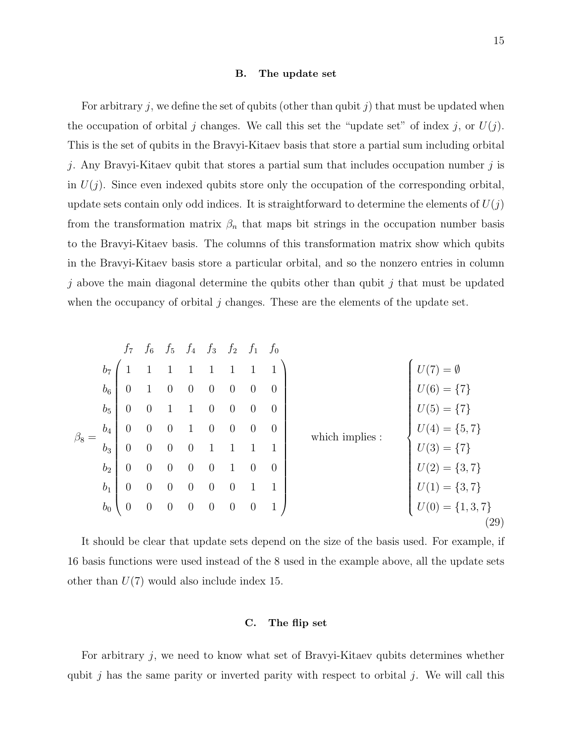### B. The update set

For arbitrary j, we define the set of qubits (other than qubit j) that must be updated when the occupation of orbital j changes. We call this set the "update set" of index j, or  $U(j)$ . This is the set of qubits in the Bravyi-Kitaev basis that store a partial sum including orbital j. Any Bravyi-Kitaev qubit that stores a partial sum that includes occupation number  $j$  is in  $U(j)$ . Since even indexed qubits store only the occupation of the corresponding orbital, update sets contain only odd indices. It is straightforward to determine the elements of  $U(j)$ from the transformation matrix  $\beta_n$  that maps bit strings in the occupation number basis to the Bravyi-Kitaev basis. The columns of this transformation matrix show which qubits in the Bravyi-Kitaev basis store a particular orbital, and so the nonzero entries in column j above the main diagonal determine the qubits other than qubit j that must be updated when the occupancy of orbital  $j$  changes. These are the elements of the update set.

|           |                | $f_7$            | $f_6$          |          | $f_5$ $f_4$ $f_3$ $f_2$ $f_1$ $f_0$ |                |                  |              |              |                                   |  |
|-----------|----------------|------------------|----------------|----------|-------------------------------------|----------------|------------------|--------------|--------------|-----------------------------------|--|
| $\beta_8$ | b <sub>7</sub> |                  |                |          |                                     |                | $\mathbf{1}$     | $\mathbf{1}$ | $\mathbf{1}$ | $=\emptyset$                      |  |
|           | $b_6$          | $\overline{0}$   |                | $\theta$ | $\overline{0}$                      | $\theta$       | $\boldsymbol{0}$ | $\theta$     | $\theta$     | $U(6) = \{7\}$                    |  |
|           | $b_5$          | $\overline{0}$   | $\overline{0}$ |          | 1                                   | $\overline{0}$ | $\overline{0}$   | $\theta$     | $\theta$     | $U(5) = \{7\}$                    |  |
|           | $b_4$          | $\theta$         | $\overline{0}$ | $\theta$ | 1                                   | $\overline{0}$ | $\overline{0}$   | $\theta$     | $\theta$     | $U(4) = \{5, 7\}$                 |  |
|           | $b_3$          | $\overline{0}$   | $\overline{0}$ | $\theta$ | $\theta$                            |                | $\mathbf{1}$     |              | $\mathbf{1}$ | which implies :<br>$U(3) = \{7\}$ |  |
|           | b <sub>2</sub> | $\overline{0}$   | $\overline{0}$ | $\theta$ | $\theta$                            | $\overline{0}$ | $\mathbf{1}$     | $\theta$     | $\theta$     | $U(2) = \{3, 7\}$                 |  |
|           | $b_1$          | $\boldsymbol{0}$ | $\overline{0}$ | $\theta$ | $\theta$                            | $\theta$       | $\overline{0}$   | 1            | 1            | $U(1) = \{3, 7\}$                 |  |
|           | $b_0$          | $\theta$         | $\theta$       | $\theta$ | $\theta$                            | $\theta$       | $\boldsymbol{0}$ | $\theta$     | $\mathbf{1}$ | $U(0) = \{1, 3, 7\}$              |  |
|           |                |                  |                |          |                                     |                |                  |              |              | $\left( 29\right)$                |  |

It should be clear that update sets depend on the size of the basis used. For example, if 16 basis functions were used instead of the 8 used in the example above, all the update sets other than  $U(7)$  would also include index 15.

### C. The flip set

For arbitrary  $j$ , we need to know what set of Bravyi-Kitaev qubits determines whether qubit j has the same parity or inverted parity with respect to orbital j. We will call this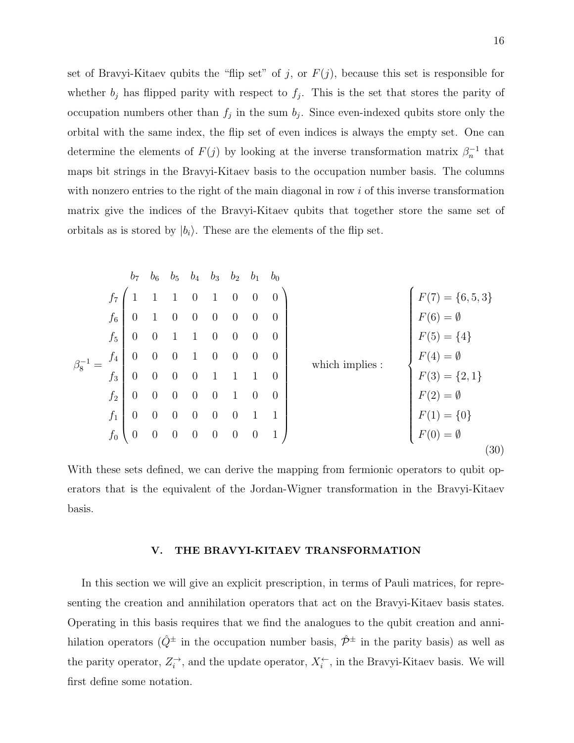set of Bravyi-Kitaev qubits the "flip set" of j, or  $F(j)$ , because this set is responsible for whether  $b_j$  has flipped parity with respect to  $f_j$ . This is the set that stores the parity of occupation numbers other than  $f_j$  in the sum  $b_j$ . Since even-indexed qubits store only the orbital with the same index, the flip set of even indices is always the empty set. One can determine the elements of  $F(j)$  by looking at the inverse transformation matrix  $\beta_n^{-1}$  that maps bit strings in the Bravyi-Kitaev basis to the occupation number basis. The columns with nonzero entries to the right of the main diagonal in row  $i$  of this inverse transformation matrix give the indices of the Bravyi-Kitaev qubits that together store the same set of orbitals as is stored by  $|b_i\rangle$ . These are the elements of the flip set.

$$
b_{7} b_{6} b_{5} b_{4} b_{3} b_{2} b_{1} b_{0}
$$
\n
$$
f_{7} \begin{pmatrix} 1 & 1 & 1 & 0 & 1 & 0 & 0 & 0 & 0 \\ 0 & 1 & 0 & 0 & 0 & 0 & 0 & 0 & 0 \\ 0 & 0 & 1 & 1 & 0 & 0 & 0 & 0 & 0 \\ 0 & 0 & 0 & 1 & 0 & 0 & 0 & 0 & 0 \\ 0 & 0 & 0 & 0 & 1 & 1 & 1 & 0 & 0 \\ 0 & 0 & 0 & 0 & 0 & 1 & 1 & 1 & 0 \\ 0 & 0 & 0 & 0 & 0 & 1 & 1 & 0 & 0 \\ 0 & 0 & 0 & 0 & 0 & 0 & 1 & 1 & 0 \\ 0 & 0 & 0 & 0 & 0 & 0 & 1 & 1 & 0 \\ 0 & 0 & 0 & 0 & 0 & 0 & 1 & 1 & 0 \\ 0 & 0 & 0 & 0 & 0 & 0 & 0 & 1 & 1 \end{pmatrix}
$$
\nwhich implies:  
\n
$$
f_{8} \begin{cases} F(7) = \{6, 5, 3\} \\ F(6) = \emptyset \\ F(5) = \{4\} \\ F(4) = \emptyset \\ F(3) = \{2, 1\} \\ F(2) = \emptyset \\ F(1) = \{0\} \\ F(0) = \emptyset \end{cases}
$$
\n(30)

With these sets defined, we can derive the mapping from fermionic operators to qubit operators that is the equivalent of the Jordan-Wigner transformation in the Bravyi-Kitaev basis.

### <span id="page-16-0"></span>V. THE BRAVYI-KITAEV TRANSFORMATION

In this section we will give an explicit prescription, in terms of Pauli matrices, for representing the creation and annihilation operators that act on the Bravyi-Kitaev basis states. Operating in this basis requires that we find the analogues to the qubit creation and annihilation operators ( $\hat{Q}^{\pm}$  in the occupation number basis,  $\hat{\mathcal{P}}^{\pm}$  in the parity basis) as well as the parity operator,  $Z_i^{\rightarrow}$ , and the update operator,  $X_i^{\leftarrow}$ , in the Bravyi-Kitaev basis. We will first define some notation.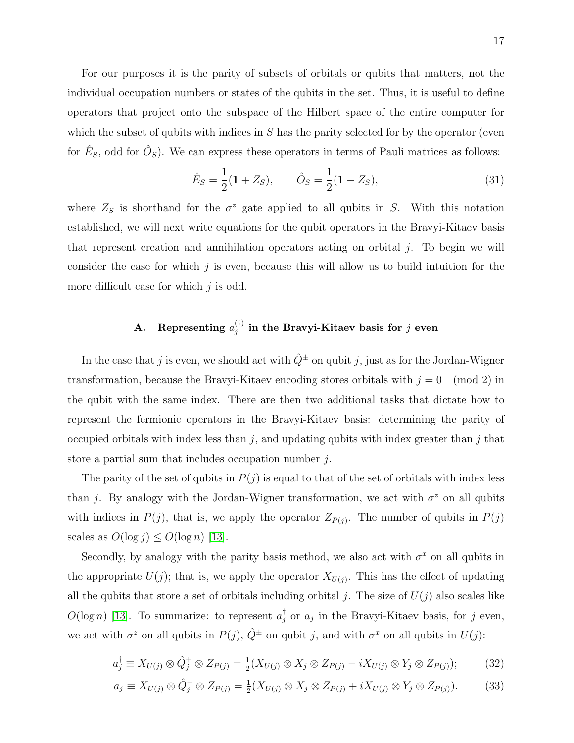For our purposes it is the parity of subsets of orbitals or qubits that matters, not the individual occupation numbers or states of the qubits in the set. Thus, it is useful to define operators that project onto the subspace of the Hilbert space of the entire computer for which the subset of qubits with indices in  $S$  has the parity selected for by the operator (even for  $\hat{E}_s$ , odd for  $\hat{O}_s$ ). We can express these operators in terms of Pauli matrices as follows:

$$
\hat{E}_S = \frac{1}{2}(\mathbf{1} + Z_S), \qquad \hat{O}_S = \frac{1}{2}(\mathbf{1} - Z_S), \tag{31}
$$

where  $Z_S$  is shorthand for the  $\sigma^z$  gate applied to all qubits in S. With this notation established, we will next write equations for the qubit operators in the Bravyi-Kitaev basis that represent creation and annihilation operators acting on orbital  $j$ . To begin we will consider the case for which  $j$  is even, because this will allow us to build intuition for the more difficult case for which  $j$  is odd.

### A. Representing  $a_i^{(\dagger)}$  $j^{(+)}_{j}$  in the Bravyi-Kitaev basis for  $j$  even

In the case that j is even, we should act with  $\hat{Q}^{\pm}$  on qubit j, just as for the Jordan-Wigner transformation, because the Bravyi-Kitaev encoding stores orbitals with  $j = 0 \pmod{2}$  in the qubit with the same index. There are then two additional tasks that dictate how to represent the fermionic operators in the Bravyi-Kitaev basis: determining the parity of occupied orbitals with index less than  $j$ , and updating qubits with index greater than  $j$  that store a partial sum that includes occupation number j.

The parity of the set of qubits in  $P(j)$  is equal to that of the set of orbitals with index less than j. By analogy with the Jordan-Wigner transformation, we act with  $\sigma^z$  on all qubits with indices in  $P(j)$ , that is, we apply the operator  $Z_{P(j)}$ . The number of qubits in  $P(j)$ scales as  $O(\log j) \leq O(\log n)$  [\[13\]](#page-37-8).

Secondly, by analogy with the parity basis method, we also act with  $\sigma^x$  on all qubits in the appropriate  $U(j)$ ; that is, we apply the operator  $X_{U(j)}$ . This has the effect of updating all the qubits that store a set of orbitals including orbital j. The size of  $U(j)$  also scales like  $O(\log n)$  [\[13\]](#page-37-8). To summarize: to represent  $a_j^{\dagger}$  or  $a_j$  in the Bravyi-Kitaev basis, for j even, we act with  $\sigma^z$  on all qubits in  $P(j)$ ,  $\hat{Q}^{\pm}$  on qubit j, and with  $\sigma^x$  on all qubits in  $U(j)$ :

$$
a_j^{\dagger} \equiv X_{U(j)} \otimes \hat{Q}_j^+ \otimes Z_{P(j)} = \frac{1}{2}(X_{U(j)} \otimes X_j \otimes Z_{P(j)} - iX_{U(j)} \otimes Y_j \otimes Z_{P(j)}); \tag{32}
$$

$$
a_j \equiv X_{U(j)} \otimes \hat{Q}_j^{-} \otimes Z_{P(j)} = \frac{1}{2}(X_{U(j)} \otimes X_j \otimes Z_{P(j)} + iX_{U(j)} \otimes Y_j \otimes Z_{P(j)}).
$$
(33)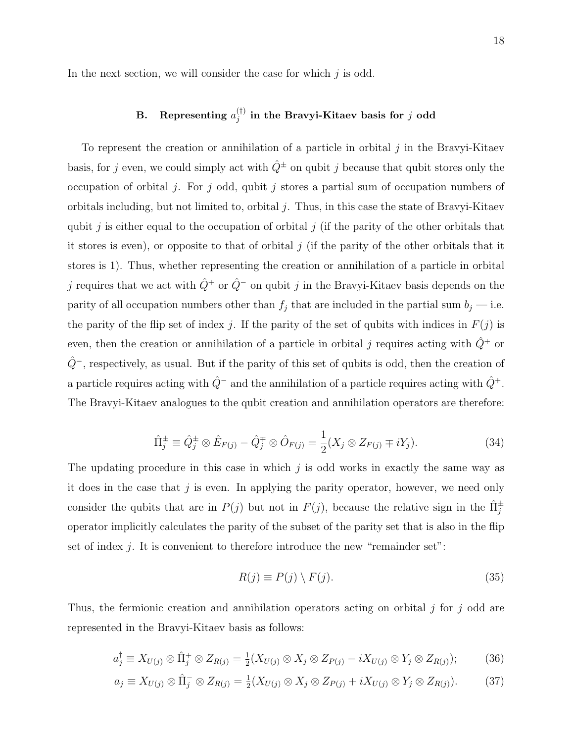In the next section, we will consider the case for which  $i$  is odd.

### B. Representing  $a_i^{(\dagger)}$  $j^{(1)}$  in the Bravyi-Kitaev basis for  $j$  odd

To represent the creation or annihilation of a particle in orbital  $j$  in the Bravyi-Kitaev basis, for j even, we could simply act with  $\hat{Q}^{\pm}$  on qubit j because that qubit stores only the occupation of orbital j. For j odd, qubit j stores a partial sum of occupation numbers of orbitals including, but not limited to, orbital  $j$ . Thus, in this case the state of Bravyi-Kitaev qubit j is either equal to the occupation of orbital j (if the parity of the other orbitals that it stores is even), or opposite to that of orbital  $j$  (if the parity of the other orbitals that it stores is 1). Thus, whether representing the creation or annihilation of a particle in orbital j requires that we act with  $\hat{Q}^+$  or  $\hat{Q}^-$  on qubit j in the Bravyi-Kitaev basis depends on the parity of all occupation numbers other than  $f_j$  that are included in the partial sum  $b_j$  — i.e. the parity of the flip set of index j. If the parity of the set of qubits with indices in  $F(j)$  is even, then the creation or annihilation of a particle in orbital  $j$  requires acting with  $\hat{Q}^+$  or  $\hat{Q}$ <sup>−</sup>, respectively, as usual. But if the parity of this set of qubits is odd, then the creation of a particle requires acting with  $\hat{Q}^-$  and the annihilation of a particle requires acting with  $\hat{Q}^+$ . The Bravyi-Kitaev analogues to the qubit creation and annihilation operators are therefore:

$$
\hat{\Pi}_{j}^{\pm} \equiv \hat{Q}_{j}^{\pm} \otimes \hat{E}_{F(j)} - \hat{Q}_{j}^{\mp} \otimes \hat{O}_{F(j)} = \frac{1}{2} (X_{j} \otimes Z_{F(j)} \mp iY_{j}). \tag{34}
$$

The updating procedure in this case in which  $j$  is odd works in exactly the same way as it does in the case that  $j$  is even. In applying the parity operator, however, we need only consider the qubits that are in  $P(j)$  but not in  $F(j)$ , because the relative sign in the  $\hat{\Pi}_{j}^{\pm}$ operator implicitly calculates the parity of the subset of the parity set that is also in the flip set of index  $j$ . It is convenient to therefore introduce the new "remainder set":

$$
R(j) \equiv P(j) \setminus F(j). \tag{35}
$$

Thus, the fermionic creation and annihilation operators acting on orbital  $j$  for  $j$  odd are represented in the Bravyi-Kitaev basis as follows:

$$
a_j^{\dagger} \equiv X_{U(j)} \otimes \hat{\Pi}_j^+ \otimes Z_{R(j)} = \frac{1}{2} (X_{U(j)} \otimes X_j \otimes Z_{P(j)} - i X_{U(j)} \otimes Y_j \otimes Z_{R(j)}); \tag{36}
$$

$$
a_j \equiv X_{U(j)} \otimes \hat{\Pi}_j^- \otimes Z_{R(j)} = \frac{1}{2}(X_{U(j)} \otimes X_j \otimes Z_{P(j)} + iX_{U(j)} \otimes Y_j \otimes Z_{R(j)}).
$$
 (37)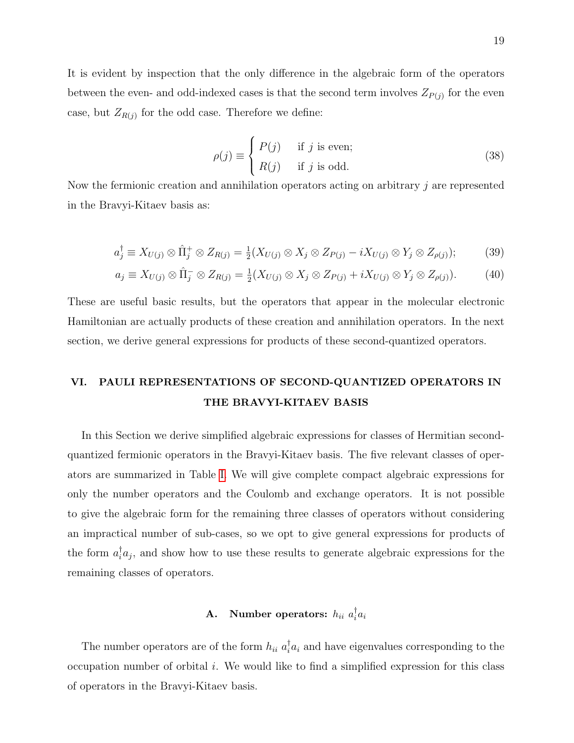It is evident by inspection that the only difference in the algebraic form of the operators between the even- and odd-indexed cases is that the second term involves  $Z_{P(j)}$  for the even case, but  $Z_{R(j)}$  for the odd case. Therefore we define:

$$
\rho(j) \equiv \begin{cases} P(j) & \text{if } j \text{ is even;} \\ R(j) & \text{if } j \text{ is odd.} \end{cases}
$$
 (38)

Now the fermionic creation and annihilation operators acting on arbitrary j are represented in the Bravyi-Kitaev basis as:

$$
a_j^{\dagger} \equiv X_{U(j)} \otimes \hat{\Pi}_j^+ \otimes Z_{R(j)} = \frac{1}{2}(X_{U(j)} \otimes X_j \otimes Z_{P(j)} - iX_{U(j)} \otimes Y_j \otimes Z_{\rho(j)}); \tag{39}
$$

$$
a_j \equiv X_{U(j)} \otimes \hat{\Pi}_j^- \otimes Z_{R(j)} = \frac{1}{2}(X_{U(j)} \otimes X_j \otimes Z_{P(j)} + iX_{U(j)} \otimes Y_j \otimes Z_{\rho(j)}).
$$
(40)

These are useful basic results, but the operators that appear in the molecular electronic Hamiltonian are actually products of these creation and annihilation operators. In the next section, we derive general expressions for products of these second-quantized operators.

# <span id="page-19-0"></span>VI. PAULI REPRESENTATIONS OF SECOND-QUANTIZED OPERATORS IN THE BRAVYI-KITAEV BASIS

In this Section we derive simplified algebraic expressions for classes of Hermitian secondquantized fermionic operators in the Bravyi-Kitaev basis. The five relevant classes of operators are summarized in Table [I.](#page-20-0) We will give complete compact algebraic expressions for only the number operators and the Coulomb and exchange operators. It is not possible to give the algebraic form for the remaining three classes of operators without considering an impractical number of sub-cases, so we opt to give general expressions for products of the form  $a_i^{\dagger} a_j$ , and show how to use these results to generate algebraic expressions for the remaining classes of operators.

### <span id="page-19-1"></span>A. Number operators:  $h_{ii} a_i^{\dagger}$  $\frac{1}{i}a_i$

The number operators are of the form  $h_{ii} a_i^{\dagger} a_i$  and have eigenvalues corresponding to the occupation number of orbital i. We would like to find a simplified expression for this class of operators in the Bravyi-Kitaev basis.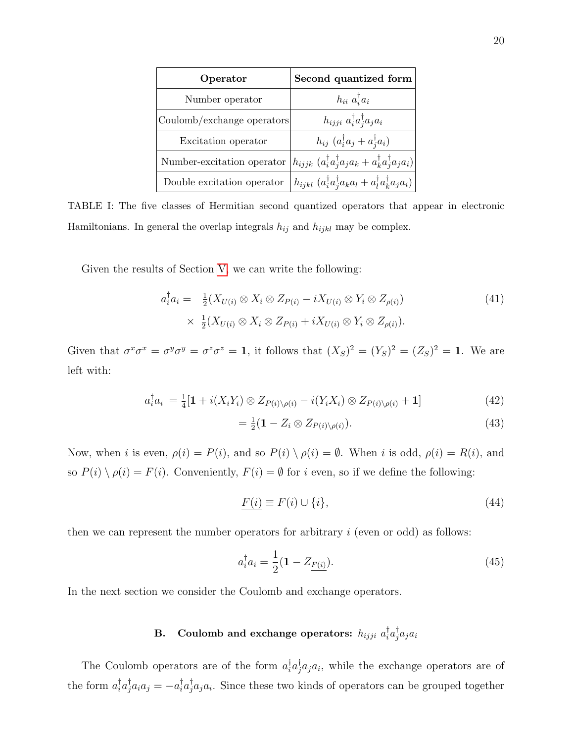| Operator                   | Second quantized form                                                                                              |
|----------------------------|--------------------------------------------------------------------------------------------------------------------|
| Number operator            | $h_{ii}$ $a_i^{\dagger} a_i$                                                                                       |
| Coulomb/exchange operators | $h_{ijji} a_i^{\dagger} a_j^{\dagger} a_j a_i$                                                                     |
| Excitation operator        | $h_{ij}$ $(a_i^{\dagger} a_j + a_i^{\dagger} a_i)$                                                                 |
| Number-excitation operator | $\left h_{ijjk}\;(a_i^\dagger a_j^\dagger a_j a_k + a_k^\dagger a_j^\dagger a_j a_i)\right $                       |
| Double excitation operator | $\left\langle h_{ijkl}\left(a_i^\dagger a_j^\dagger a_k a_l + a_l^\dagger a_k^\dagger a_j a_i\right)\right\rangle$ |

<span id="page-20-0"></span>TABLE I: The five classes of Hermitian second quantized operators that appear in electronic Hamiltonians. In general the overlap integrals  $h_{ij}$  and  $h_{ijkl}$  may be complex.

Given the results of Section [V,](#page-16-0) we can write the following:

$$
a_i^{\dagger} a_i = \frac{1}{2} (X_{U(i)} \otimes X_i \otimes Z_{P(i)} - i X_{U(i)} \otimes Y_i \otimes Z_{P(i)})
$$
  
 
$$
\times \frac{1}{2} (X_{U(i)} \otimes X_i \otimes Z_{P(i)} + i X_{U(i)} \otimes Y_i \otimes Z_{P(i)}).
$$
 (41)

Given that  $\sigma^x \sigma^x = \sigma^y \sigma^y = \sigma^z \sigma^z = 1$ , it follows that  $(X_S)^2 = (Y_S)^2 = (Z_S)^2 = 1$ . We are left with:

$$
a_i^{\dagger} a_i = \frac{1}{4} [\mathbf{1} + i(X_i Y_i) \otimes Z_{P(i) \setminus \rho(i)} - i(Y_i X_i) \otimes Z_{P(i) \setminus \rho(i)} + \mathbf{1}] \tag{42}
$$

$$
=\frac{1}{2}(\mathbf{1}-Z_i\otimes Z_{P(i)\setminus\rho(i)}).
$$
\n(43)

Now, when *i* is even,  $\rho(i) = P(i)$ , and so  $P(i) \setminus \rho(i) = \emptyset$ . When *i* is odd,  $\rho(i) = R(i)$ , and so  $P(i) \setminus \rho(i) = F(i)$ . Conveniently,  $F(i) = \emptyset$  for i even, so if we define the following:

$$
F(i) \equiv F(i) \cup \{i\},\tag{44}
$$

then we can represent the number operators for arbitrary  $i$  (even or odd) as follows:

$$
a_i^{\dagger} a_i = \frac{1}{2} (\mathbf{1} - Z_{\underline{F(i)}}). \tag{45}
$$

In the next section we consider the Coulomb and exchange operators.

#### B. Coulomb and exchange operators:  $h_{ijji}$   $a_i^\dagger$  $_{i}^{\dagger}a_{j}^{\dagger}$  $_{j}^{\intercal}a_{j}a_{i}$

The Coulomb operators are of the form  $a_i^{\dagger} a_j^{\dagger} a_j a_i$ , while the exchange operators are of the form  $a_i^{\dagger} a_j^{\dagger} a_i a_j = -a_i^{\dagger} a_j^{\dagger} a_j a_i$ . Since these two kinds of operators can be grouped together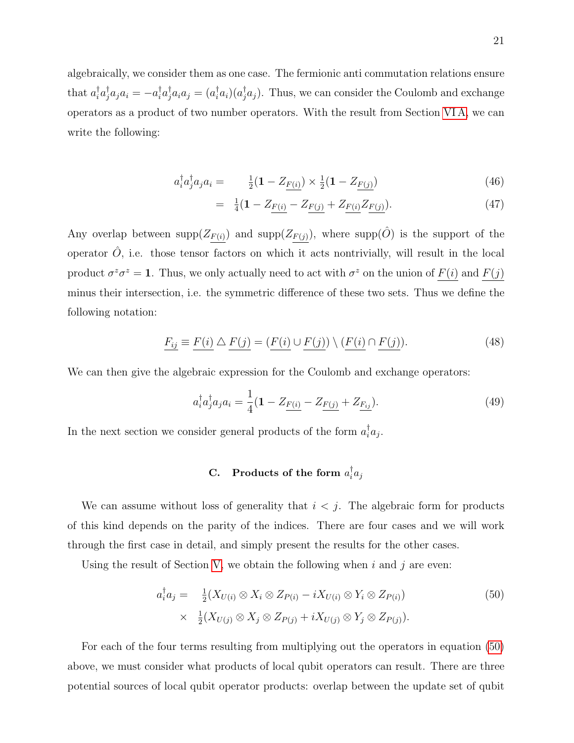algebraically, we consider them as one case. The fermionic anti commutation relations ensure that  $a_i^{\dagger}a_j^{\dagger}a_ja_i = -a_i^{\dagger}a_j^{\dagger}a_ia_j = (a_i^{\dagger}a_i)(a_j^{\dagger}a_j)$ . Thus, we can consider the Coulomb and exchange operators as a product of two number operators. With the result from Section [VI A,](#page-19-1) we can write the following:

$$
a_i^{\dagger} a_j^{\dagger} a_j a_i = \frac{1}{2} (1 - Z_{\underline{F(i)}}) \times \frac{1}{2} (1 - Z_{\underline{F(j)}})
$$
(46)

$$
= \frac{1}{4}(1 - Z_{\underline{F(i)}} - Z_{\underline{F(j)}} + Z_{\underline{F(i)}} Z_{\underline{F(j)}}). \tag{47}
$$

Any overlap between  $\text{supp}(Z_{\underline{F}(i)})$  and  $\text{supp}(Z_{\underline{F}(j)})$ , where  $\text{supp}(\hat{O})$  is the support of the operator  $\hat{O}$ , i.e. those tensor factors on which it acts nontrivially, will result in the local product  $\sigma^z \sigma^z = 1$ . Thus, we only actually need to act with  $\sigma^z$  on the union of  $F(i)$  and  $F(j)$ minus their intersection, i.e. the symmetric difference of these two sets. Thus we define the following notation:

$$
F_{ij} \equiv F(i) \triangle F(j) = (F(i) \cup F(j)) \setminus (F(i) \cap F(j)).
$$
\n(48)

We can then give the algebraic expression for the Coulomb and exchange operators:

$$
a_i^{\dagger} a_j^{\dagger} a_j a_i = \frac{1}{4} (\mathbf{1} - Z_{\underline{F(i)}} - Z_{\underline{F(j)}} + Z_{\underline{F_{ij}}}). \tag{49}
$$

In the next section we consider general products of the form  $a_i^{\dagger} a_j$ .

### C. Products of the form  $a_i^{\dagger}$  $\frac{1}{i}a_j$

We can assume without loss of generality that  $i < j$ . The algebraic form for products of this kind depends on the parity of the indices. There are four cases and we will work through the first case in detail, and simply present the results for the other cases.

Using the result of Section [V,](#page-16-0) we obtain the following when i and j are even:

<span id="page-21-0"></span>
$$
a_i^{\dagger} a_j = \frac{1}{2} (X_{U(i)} \otimes X_i \otimes Z_{P(i)} - i X_{U(i)} \otimes Y_i \otimes Z_{P(i)})
$$
  
 
$$
\times \frac{1}{2} (X_{U(j)} \otimes X_j \otimes Z_{P(j)} + i X_{U(j)} \otimes Y_j \otimes Z_{P(j)}).
$$
 (50)

For each of the four terms resulting from multiplying out the operators in equation [\(50\)](#page-21-0) above, we must consider what products of local qubit operators can result. There are three potential sources of local qubit operator products: overlap between the update set of qubit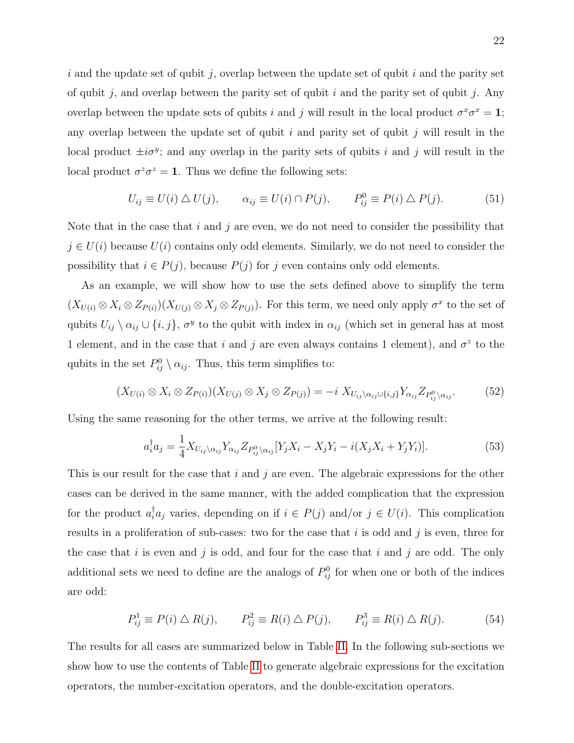i and the update set of qubit j, overlap between the update set of qubit i and the parity set of qubit j, and overlap between the parity set of qubit i and the parity set of qubit j. Any overlap between the update sets of qubits i and j will result in the local product  $\sigma^x \sigma^x = 1$ ; any overlap between the update set of qubit  $i$  and parity set of qubit  $j$  will result in the local product  $\pm i\sigma^y$ ; and any overlap in the parity sets of qubits i and j will result in the local product  $\sigma^z \sigma^z = 1$ . Thus we define the following sets:

$$
U_{ij} \equiv U(i) \triangle U(j), \qquad \alpha_{ij} \equiv U(i) \cap P(j), \qquad P_{ij}^0 \equiv P(i) \triangle P(j). \tag{51}
$$

Note that in the case that  $i$  and  $j$  are even, we do not need to consider the possibility that  $j \in U(i)$  because  $U(i)$  contains only odd elements. Similarly, we do not need to consider the possibility that  $i \in P(j)$ , because  $P(j)$  for j even contains only odd elements.

As an example, we will show how to use the sets defined above to simplify the term  $(X_{U(i)} \otimes X_i \otimes Z_{P(i)})(X_{U(j)} \otimes X_j \otimes Z_{P(j)})$ . For this term, we need only apply  $\sigma^x$  to the set of qubits  $U_{ij} \setminus \alpha_{ij} \cup \{i, j\}, \sigma^y$  to the qubit with index in  $\alpha_{ij}$  (which set in general has at most 1 element, and in the case that i and j are even always contains 1 element), and  $\sigma^z$  to the qubits in the set  $P_{ij}^0 \setminus \alpha_{ij}$ . Thus, this term simplifies to:

$$
(X_{U(i)} \otimes X_i \otimes Z_{P(i)})(X_{U(j)} \otimes X_j \otimes Z_{P(j)}) = -i X_{U_{ij} \setminus \alpha_{ij} \cup \{i,j\}} Y_{\alpha_{ij}} Z_{P_{ij}^0 \setminus \alpha_{ij}}.
$$
(52)

Using the same reasoning for the other terms, we arrive at the following result:

$$
a_i^{\dagger} a_j = \frac{1}{4} X_{U_{ij} \setminus \alpha_{ij}} Y_{\alpha_{ij}} Z_{P_{ij}^0 \setminus \alpha_{ij}} [Y_j X_i - X_j Y_i - i(X_j X_i + Y_j Y_i)]. \tag{53}
$$

This is our result for the case that  $i$  and  $j$  are even. The algebraic expressions for the other cases can be derived in the same manner, with the added complication that the expression for the product  $a_i^{\dagger} a_j$  varies, depending on if  $i \in P(j)$  and/or  $j \in U(i)$ . This complication results in a proliferation of sub-cases: two for the case that i is odd and j is even, three for the case that i is even and j is odd, and four for the case that i and j are odd. The only additional sets we need to define are the analogs of  $P_{ij}^0$  for when one or both of the indices are odd:

$$
P_{ij}^1 \equiv P(i) \triangle R(j), \qquad P_{ij}^2 \equiv R(i) \triangle P(j), \qquad P_{ij}^3 \equiv R(i) \triangle R(j). \tag{54}
$$

The results for all cases are summarized below in Table [II.](#page-25-0) In the following sub-sections we show how to use the contents of Table [II](#page-25-0) to generate algebraic expressions for the excitation operators, the number-excitation operators, and the double-excitation operators.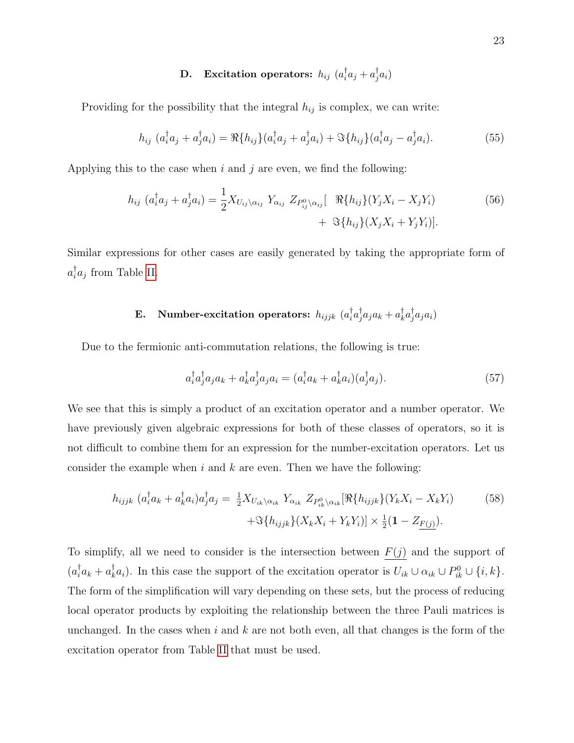#### **D.** Excitation operators:  $h_{ij}$   $(a_i^{\dagger})$  $\frac{\dagger}{i}a_j + a_j^\dagger$  $\frac{1}{j}a_i)$

Providing for the possibility that the integral  $h_{ij}$  is complex, we can write:

$$
h_{ij} (a_i^{\dagger} a_j + a_j^{\dagger} a_i) = \Re\{h_{ij}\}(a_i^{\dagger} a_j + a_j^{\dagger} a_i) + \Im\{h_{ij}\}(a_i^{\dagger} a_j - a_j^{\dagger} a_i).
$$
 (55)

Applying this to the case when  $i$  and  $j$  are even, we find the following:

$$
h_{ij} (a_i^{\dagger} a_j + a_j^{\dagger} a_i) = \frac{1}{2} X_{U_{ij} \setminus \alpha_{ij}} Y_{\alpha_{ij}} Z_{P_{ij}^0 \setminus \alpha_{ij}} [ \Re\{h_{ij}\}(Y_j X_i - X_j Y_i) + \Im\{h_{ij}\}(X_j X_i + Y_j Y_i)]. \tag{56}
$$

Similar expressions for other cases are easily generated by taking the appropriate form of  $a_i^{\dagger}a_j$  from Table [II.](#page-25-0)

#### E. Number-excitation operators:  $h_{ijjk}$   $(a_i^{\dagger})$  $_{i}^{\dagger}a_{j}^{\dagger}$  $_{j}^{\dagger}a_{j}a_{k}+a_{k}^{\dagger}$  $_{k}^{\dagger}a_{j}^{\dagger}$  $\frac{1}{j}a_ja_i)$

Due to the fermionic anti-commutation relations, the following is true:

$$
a_i^{\dagger} a_j^{\dagger} a_j a_k + a_k^{\dagger} a_j^{\dagger} a_j a_i = (a_i^{\dagger} a_k + a_k^{\dagger} a_i)(a_j^{\dagger} a_j). \tag{57}
$$

We see that this is simply a product of an excitation operator and a number operator. We have previously given algebraic expressions for both of these classes of operators, so it is not difficult to combine them for an expression for the number-excitation operators. Let us consider the example when i and  $k$  are even. Then we have the following:

$$
h_{ijjk} \left( a_i^{\dagger} a_k + a_k^{\dagger} a_i \right) a_j^{\dagger} a_j = \frac{1}{2} X_{U_{ik} \setminus \alpha_{ik}} Y_{\alpha_{ik}} Z_{P_{ik}^0 \setminus \alpha_{ik}} [\Re\{ h_{ijjk} \} (Y_k X_i - X_k Y_i) \n+ \Im\{ h_{ijjk} \} (X_k X_i + Y_k Y_i)] \times \frac{1}{2} (\mathbf{1} - Z_{F(j)}).
$$
\n(58)

To simplify, all we need to consider is the intersection between  $F(j)$  and the support of  $(a_i^{\dagger} a_k + a_k^{\dagger} a_i)$ . In this case the support of the excitation operator is  $U_{ik} \cup \alpha_{ik} \cup P_{ik}^0 \cup \{i, k\}$ . The form of the simplification will vary depending on these sets, but the process of reducing local operator products by exploiting the relationship between the three Pauli matrices is unchanged. In the cases when  $i$  and  $k$  are not both even, all that changes is the form of the excitation operator from Table [II](#page-25-0) that must be used.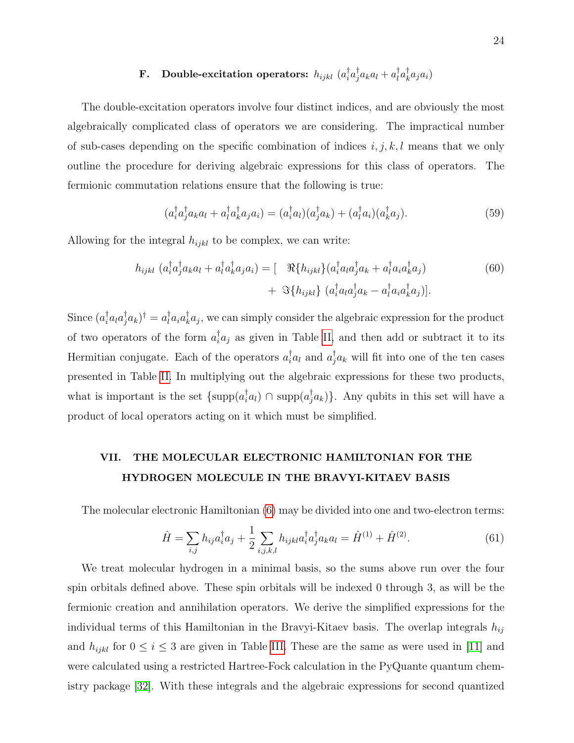#### F. Double-excitation operators:  $h_{ijkl}$   $(a_i^\dagger$  $_{i}^{\dagger}a_{j}^{\dagger}$  $a^{\dagger}_j a_k a_l + a^{\dagger}_l$  $_{l}^{\dagger}a_{k}^{\dagger}$  $_{k}^{\intercal}a_{j}a_{i})$

The double-excitation operators involve four distinct indices, and are obviously the most algebraically complicated class of operators we are considering. The impractical number of sub-cases depending on the specific combination of indices  $i, j, k, l$  means that we only outline the procedure for deriving algebraic expressions for this class of operators. The fermionic commutation relations ensure that the following is true:

$$
(a_i^{\dagger} a_j^{\dagger} a_k a_l + a_i^{\dagger} a_k^{\dagger} a_j a_i) = (a_i^{\dagger} a_l)(a_j^{\dagger} a_k) + (a_i^{\dagger} a_i)(a_k^{\dagger} a_j). \tag{59}
$$

Allowing for the integral  $h_{ijkl}$  to be complex, we can write:

$$
h_{ijkl} \left( a_i^{\dagger} a_j^{\dagger} a_k a_l + a_l^{\dagger} a_k^{\dagger} a_j a_i \right) = \left[ \Re\{ h_{ijkl} \} \left( a_i^{\dagger} a_l a_j^{\dagger} a_k + a_l^{\dagger} a_i a_k^{\dagger} a_j \right) \right. \\ \left. + \Im\{ h_{ijkl} \} \left( a_i^{\dagger} a_l a_j^{\dagger} a_k - a_l^{\dagger} a_i a_k^{\dagger} a_j \right) \right]. \tag{60}
$$

Since  $(a_i^{\dagger} a_i a_j^{\dagger} a_k)^{\dagger} = a_i^{\dagger} a_i a_k^{\dagger} a_j$ , we can simply consider the algebraic expression for the product of two operators of the form  $a_i^{\dagger} a_j$  as given in Table [II,](#page-25-0) and then add or subtract it to its Hermitian conjugate. Each of the operators  $a_i^{\dagger} a_l$  and  $a_j^{\dagger} a_k$  will fit into one of the ten cases presented in Table [II.](#page-25-0) In multiplying out the algebraic expressions for these two products, what is important is the set  $\{\text{supp}(a_i^{\dagger}a_i) \cap \text{supp}(a_j^{\dagger}a_k)\}\$ . Any qubits in this set will have a product of local operators acting on it which must be simplified.

## <span id="page-24-0"></span>VII. THE MOLECULAR ELECTRONIC HAMILTONIAN FOR THE HYDROGEN MOLECULE IN THE BRAVYI-KITAEV BASIS

The molecular electronic Hamiltonian [\(6\)](#page-6-0) may be divided into one and two-electron terms:

$$
\hat{H} = \sum_{i,j} h_{ij} a_i^{\dagger} a_j + \frac{1}{2} \sum_{i,j,k,l} h_{ijkl} a_i^{\dagger} a_j^{\dagger} a_k a_l = \hat{H}^{(1)} + \hat{H}^{(2)}.
$$
\n(61)

We treat molecular hydrogen in a minimal basis, so the sums above run over the four spin orbitals defined above. These spin orbitals will be indexed 0 through 3, as will be the fermionic creation and annihilation operators. We derive the simplified expressions for the individual terms of this Hamiltonian in the Bravyi-Kitaev basis. The overlap integrals  $h_{ij}$ and  $h_{ijkl}$  for  $0 \le i \le 3$  are given in Table [III.](#page-26-0) These are the same as were used in [\[11\]](#page-37-6) and were calculated using a restricted Hartree-Fock calculation in the PyQuante quantum chemistry package [\[32\]](#page-38-4). With these integrals and the algebraic expressions for second quantized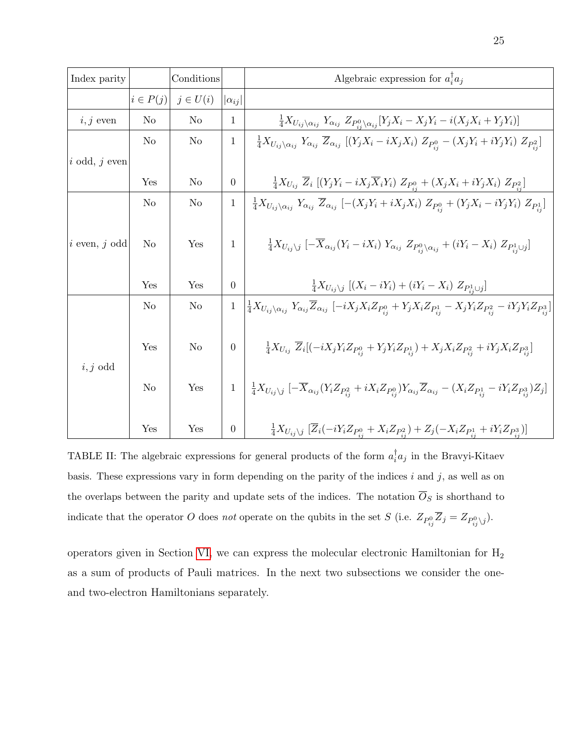| Index parity      |                | Conditions     |                 | Algebraic expression for $a_i^{\dagger} a_j$                                                                                                                                                            |
|-------------------|----------------|----------------|-----------------|---------------------------------------------------------------------------------------------------------------------------------------------------------------------------------------------------------|
|                   | $i \in P(j)$   | $j \in U(i)$   | $ \alpha_{ij} $ |                                                                                                                                                                                                         |
| $i, j$ even       | N <sub>o</sub> | N <sub>o</sub> | 1               | $\frac{1}{4}X_{U_{ij}\setminus\alpha_{ij}} Y_{\alpha_{ij}} Z_{P_{ij}\setminus\alpha_{ij}} [Y_jX_i-X_jY_i-i(X_jX_i+Y_jY_i)]$                                                                             |
|                   | N <sub>o</sub> | N <sub>o</sub> | $\mathbf{1}$    | $\frac{1}{4}X_{U_{ij}\setminus\alpha_{ij}} Y_{\alpha_{ij}} \ \overline{Z}_{\alpha_{ij}} \ [(Y_jX_i - iX_jX_i) \ Z_{P_{ij}}^0 - (X_jY_i + iY_jY_i) \ Z_{P_{ij}}^2]$                                      |
| $i$ odd, $j$ even |                |                |                 |                                                                                                                                                                                                         |
|                   | Yes            | N <sub>o</sub> | $\overline{0}$  | $\frac{1}{4}X_{U_{ij}}\ \overline{Z}_i\ [(Y_jY_i-iX_j\overline{X}_iY_i)\ Z_{P_{ij}^0}+(X_jX_i+iY_jX_i)\ Z_{P_{ij}^2}]$                                                                                  |
|                   | No             | N <sub>o</sub> | $\mathbf{1}$    | $\frac{1}{4}X_{U_{ij}\setminus\alpha_{ij}} Y_{\alpha_{ij}} \ \overline{Z}_{\alpha_{ij}}\ [-(X_jY_i+iX_jX_i)\ Z_{P_{ij}}^0+(Y_jX_i-iY_jY_i)\ Z_{P_{ij}}^1]$                                              |
| $i$ even, $j$ odd | No             | Yes            | $\mathbf{1}$    | $\frac{1}{4}X_{U_{ij}\backslash j}\left[-\overline{X}_{\alpha_{ij}}(Y_i-iX_i)\;Y_{\alpha_{ij}}\;Z_{P_{ij}^0\backslash\alpha_{ij}}+(iY_i-X_i)\;Z_{P_{ij}^1\cup j}\right]$                                |
|                   | Yes            | Yes            | $\theta$        | $\frac{1}{4}X_{U_{ij}\setminus j}$ $[(X_i - iY_i) + (iY_i - X_i) Z_{P_{i\cup j}}]$                                                                                                                      |
|                   | No             | N <sub>o</sub> | $\mathbf{1}$    | $\frac{1}{4}X_{U_{ij}\setminus\alpha_{ij}}Y_{\alpha_{ij}}\overline{Z}_{\alpha_{ij}}\left[-iX_{j}X_{i}Z_{P_{ij}^{0}}+Y_{j}X_{i}Z_{P_{ij}^{1}}-X_{j}Y_{i}Z_{P_{ij}^{2}}-iY_{j}Y_{i}Z_{P_{ij}^{3}}\right]$ |
| $i, j$ odd        | Yes            | No             | $\overline{0}$  | $\frac{1}{4}X_{U_{ij}}\ \overline{Z}_i[(-iX_jY_iZ_{P_{ij}^0}+Y_jY_iZ_{P_{ij}^1})+X_jX_iZ_{P_{ij}^2}+iY_jX_iZ_{P_{ij}^3}]$                                                                               |
|                   | No             | Yes            | $\mathbf{1}$    | $-\frac{1}{4}X_{U_{ij}\backslash j}\left[-\overline{X}_{\alpha_{ij}}(Y_{i}Z_{P_{ij}^2}+iX_{i}Z_{P_{ij}^0})Y_{\alpha_{ij}}\overline{Z}_{\alpha_{ij}}-(X_{i}Z_{P_{ij}^1}-iY_{i}Z_{P_{ij}^3})Z_j\right]$   |
|                   | Yes            | Yes            | $\overline{0}$  | $\frac{1}{4}X_{U_{ij}\backslash j}\left[\overline{Z}_{i}(-iY_{i}Z_{P_{ij}^{0}}+X_{i}Z_{P_{ij}^{2}})+Z_{j}(-X_{i}Z_{P_{ij}^{1}}+iY_{i}Z_{P_{ij}^{3}})\right]$                                            |

<span id="page-25-0"></span>TABLE II: The algebraic expressions for general products of the form  $a_i^{\dagger}$  $a_i$  in the Bravyi-Kitaev basis. These expressions vary in form depending on the parity of the indices  $i$  and  $j$ , as well as on the overlaps between the parity and update sets of the indices. The notation  $\overline{O}_S$  is shorthand to indicate that the operator O does not operate on the qubits in the set S (i.e.  $Z_{P_{ij}^0} \overline{Z}_j = Z_{P_{ij}^0 \setminus j}$ ).

operators given in Section [VI,](#page-19-0) we can express the molecular electronic Hamiltonian for  $\rm H_{2}$ as a sum of products of Pauli matrices. In the next two subsections we consider the oneand two-electron Hamiltonians separately.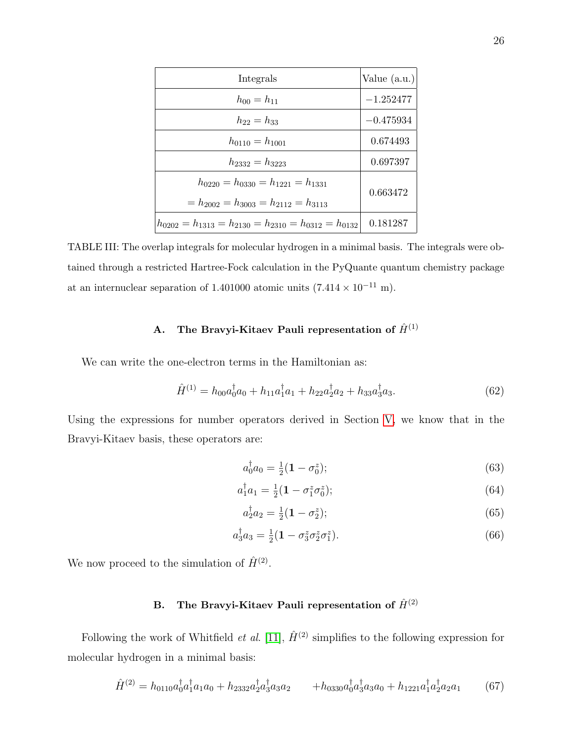| Integrals                                                                                    | Value $(a.u.)$ |
|----------------------------------------------------------------------------------------------|----------------|
| $h_{00}=h_{11}$                                                                              | $-1.252477$    |
| $h_{22} = h_{33}$                                                                            | $-0.475934$    |
| $h_{0110} = h_{1001}$                                                                        | 0.674493       |
| $h_{2332} = h_{3223}$                                                                        | 0.697397       |
| $h_{0220} = h_{0330} = h_{1221} = h_{1331}$<br>$= h_{2002} = h_{3003} = h_{2112} = h_{3113}$ | 0.663472       |
| $h_{0202} = h_{1313} = h_{2130} = h_{2310} = h_{0312} = h_{0132}$                            | 0.181287       |

<span id="page-26-0"></span>TABLE III: The overlap integrals for molecular hydrogen in a minimal basis. The integrals were obtained through a restricted Hartree-Fock calculation in the PyQuante quantum chemistry package at an internuclear separation of 1.401000 atomic units (7.414  $\times$  10<sup>-11</sup> m).

## <span id="page-26-1"></span>A. The Bravyi-Kitaev Pauli representation of  $\hat{H}^{(1)}$

We can write the one-electron terms in the Hamiltonian as:

$$
\hat{H}^{(1)} = h_{00}a_0^{\dagger}a_0 + h_{11}a_1^{\dagger}a_1 + h_{22}a_2^{\dagger}a_2 + h_{33}a_3^{\dagger}a_3. \tag{62}
$$

Using the expressions for number operators derived in Section [V,](#page-16-0) we know that in the Bravyi-Kitaev basis, these operators are:

$$
a_0^{\dagger} a_0 = \frac{1}{2} (1 - \sigma_0^z); \tag{63}
$$

$$
a_1^{\dagger} a_1 = \frac{1}{2} (1 - \sigma_1^z \sigma_0^z); \tag{64}
$$

$$
a_2^{\dagger} a_2 = \frac{1}{2} (1 - \sigma_2^z); \tag{65}
$$

$$
a_3^{\dagger} a_3 = \frac{1}{2} (1 - \sigma_3^z \sigma_2^z \sigma_1^z). \tag{66}
$$

We now proceed to the simulation of  $\hat{H}^{(2)}$ .

## B. The Bravyi-Kitaev Pauli representation of  $\hat{H}^{(2)}$

Following the work of Whitfield *et al.* [\[11\]](#page-37-6),  $\hat{H}^{(2)}$  simplifies to the following expression for molecular hydrogen in a minimal basis:

$$
\hat{H}^{(2)} = h_{0110} a_0^{\dagger} a_1^{\dagger} a_1 a_0 + h_{2332} a_2^{\dagger} a_3^{\dagger} a_3 a_2 + h_{0330} a_0^{\dagger} a_3^{\dagger} a_3 a_0 + h_{1221} a_1^{\dagger} a_2^{\dagger} a_2 a_1 \tag{67}
$$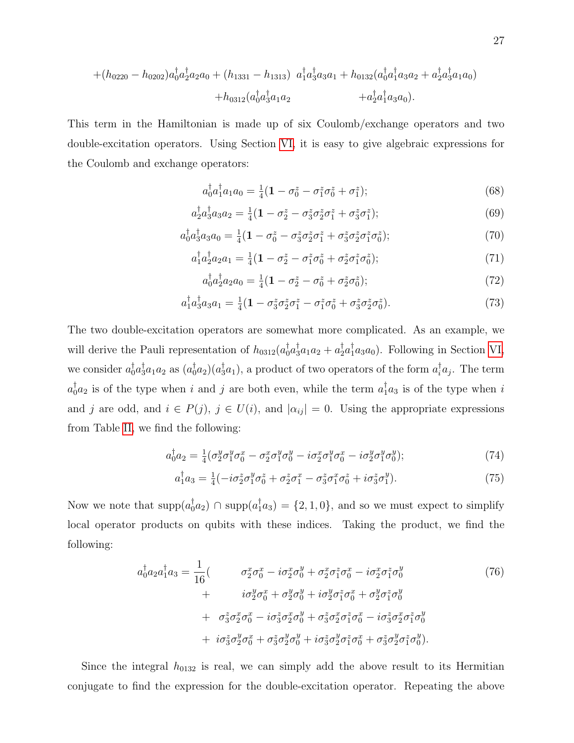$$
+(h_{0220}-h_{0202})a_0^{\dagger}a_2^{\dagger}a_2a_0+(h_{1331}-h_{1313})a_1^{\dagger}a_3^{\dagger}a_3a_1+h_{0132}(a_0^{\dagger}a_1^{\dagger}a_3a_2+a_2^{\dagger}a_3^{\dagger}a_1a_0) +h_{0312}(a_0^{\dagger}a_3^{\dagger}a_1a_2 +a_2^{\dagger}a_1^{\dagger}a_3a_0).
$$

This term in the Hamiltonian is made up of six Coulomb/exchange operators and two double-excitation operators. Using Section [VI,](#page-19-0) it is easy to give algebraic expressions for the Coulomb and exchange operators:

$$
a_0^{\dagger} a_1^{\dagger} a_1 a_0 = \frac{1}{4} (\mathbf{1} - \sigma_0^z - \sigma_1^z \sigma_0^z + \sigma_1^z); \tag{68}
$$

$$
a_2^{\dagger} a_3^{\dagger} a_3 a_2 = \frac{1}{4} (\mathbf{1} - \sigma_2^z - \sigma_3^z \sigma_2^z \sigma_1^z + \sigma_3^z \sigma_1^z); \tag{69}
$$

$$
a_0^{\dagger} a_3^{\dagger} a_3 a_0 = \frac{1}{4} (\mathbf{1} - \sigma_0^z - \sigma_3^z \sigma_2^z \sigma_1^z + \sigma_3^z \sigma_2^z \sigma_1^z \sigma_0^z); \tag{70}
$$

$$
a_1^{\dagger} a_2^{\dagger} a_2 a_1 = \frac{1}{4} (1 - \sigma_2^z - \sigma_1^z \sigma_0^z + \sigma_2^z \sigma_1^z \sigma_0^z); \tag{71}
$$

$$
a_0^{\dagger} a_2^{\dagger} a_2 a_0 = \frac{1}{4} (1 - \sigma_2^z - \sigma_0^z + \sigma_2^z \sigma_0^z); \tag{72}
$$

$$
a_1^{\dagger} a_3^{\dagger} a_3 a_1 = \frac{1}{4} (1 - \sigma_3^z \sigma_2^z \sigma_1^z - \sigma_1^z \sigma_0^z + \sigma_3^z \sigma_2^z \sigma_0^z). \tag{73}
$$

The two double-excitation operators are somewhat more complicated. As an example, we will derive the Pauli representation of  $h_{0312}(a_0^{\dagger}a_3^{\dagger}a_1a_2 + a_2^{\dagger}a_1^{\dagger}a_3a_0)$ . Following in Section [VI,](#page-19-0) we consider  $a_0^{\dagger}a_3^{\dagger}a_1a_2$  as  $(a_0^{\dagger}a_2)(a_3^{\dagger}a_1)$ , a product of two operators of the form  $a_i^{\dagger}a_j$ . The term  $a_0^{\dagger}a_2$  is of the type when i and j are both even, while the term  $a_1^{\dagger}a_3$  is of the type when i and j are odd, and  $i \in P(j)$ ,  $j \in U(i)$ , and  $|\alpha_{ij}| = 0$ . Using the appropriate expressions from Table [II,](#page-25-0) we find the following:

$$
a_0^{\dagger} a_2 = \frac{1}{4} (\sigma_2^y \sigma_1^y \sigma_0^x - \sigma_2^x \sigma_1^y \sigma_0^y - i \sigma_2^x \sigma_1^y \sigma_0^x - i \sigma_2^y \sigma_1^y \sigma_0^y); \tag{74}
$$

$$
a_1^{\dagger} a_3 = \frac{1}{4} (-i\sigma_2^z \sigma_1^y \sigma_0^z + \sigma_2^z \sigma_1^x - \sigma_3^z \sigma_1^x \sigma_0^z + i\sigma_3^z \sigma_1^y). \tag{75}
$$

Now we note that  $\text{supp}(a_0^{\dagger}a_2) \cap \text{supp}(a_1^{\dagger}a_3) = \{2, 1, 0\}$ , and so we must expect to simplify local operator products on qubits with these indices. Taking the product, we find the following:

$$
a_0^{\dagger} a_2 a_1^{\dagger} a_3 = \frac{1}{16} \left( \sigma_2^x \sigma_0^x - i \sigma_2^x \sigma_0^y + \sigma_2^x \sigma_1^z \sigma_0^x - i \sigma_2^x \sigma_1^z \sigma_0^y \right) + i \sigma_2^y \sigma_0^x + \sigma_2^y \sigma_0^y + i \sigma_2^y \sigma_1^z \sigma_0^x + \sigma_2^y \sigma_2^z \sigma_0^x - i \sigma_3^z \sigma_2^x \sigma_0^y + \sigma_3^z \sigma_2^x \sigma_0^z + \sigma_3^z \sigma_2^y \sigma_0^y + i \sigma_3^z \sigma_2^y \sigma_0^y + i \sigma_3^z \sigma_2^y \sigma_0^z + i \sigma_3^z \sigma_2^y \sigma_1^z \sigma_0^x + \sigma_3^z \sigma_2^y \sigma_1^z \sigma_0^y \right).
$$
\n(76)

Since the integral  $h_{0132}$  is real, we can simply add the above result to its Hermitian conjugate to find the expression for the double-excitation operator. Repeating the above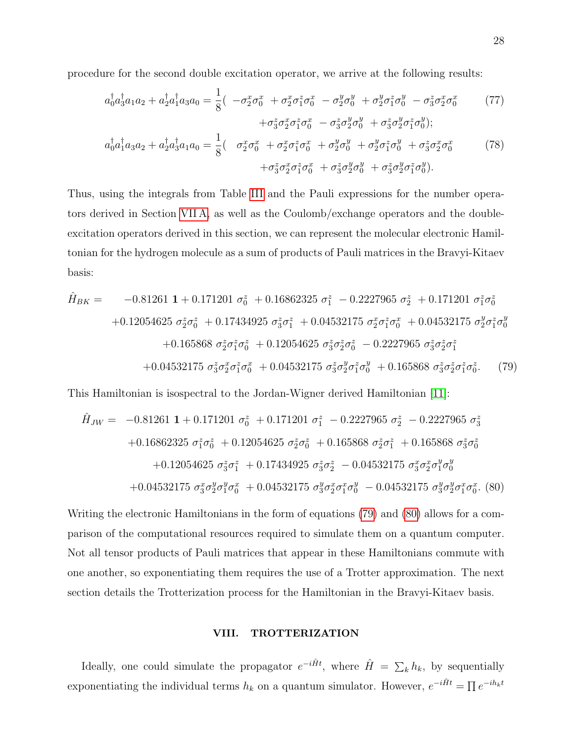procedure for the second double excitation operator, we arrive at the following results:

$$
a_0^{\dagger} a_3^{\dagger} a_1 a_2 + a_2^{\dagger} a_3^{\dagger} a_3 a_0 = \frac{1}{8} \left( -\sigma_2^x \sigma_0^x + \sigma_2^x \sigma_1^z \sigma_0^x - \sigma_2^y \sigma_0^y + \sigma_2^y \sigma_1^z \sigma_0^y - \sigma_3^z \sigma_2^x \sigma_0^x - \sigma_3^z \sigma_2^z \sigma_1^z \sigma_0^y + \sigma_3^z \sigma_2^z \sigma_1^z \sigma_0^y + \sigma_3^z \sigma_2^z \sigma_1^z \sigma_0^y \right);
$$
\n(77)

$$
a_0^{\dagger} a_1^{\dagger} a_3 a_2 + a_2^{\dagger} a_3^{\dagger} a_1 a_0 = \frac{1}{8} \left( \quad \sigma_2^x \sigma_0^x + \sigma_2^x \sigma_1^z \sigma_0^x + \sigma_2^y \sigma_0^y + \sigma_2^y \sigma_1^z \sigma_0^y + \sigma_3^z \sigma_2^x \sigma_0^x + \sigma_3^z \sigma_2^x \sigma_1^z \sigma_0^x + \sigma_3^z \sigma_2^y \sigma_0^z + \sigma_3^z \sigma_2^y \sigma_1^z \sigma_0^y \right).
$$
\n(78)

Thus, using the integrals from Table [III](#page-26-0) and the Pauli expressions for the number operators derived in Section [VII A,](#page-26-1) as well as the Coulomb/exchange operators and the doubleexcitation operators derived in this section, we can represent the molecular electronic Hamiltonian for the hydrogen molecule as a sum of products of Pauli matrices in the Bravyi-Kitaev basis:

<span id="page-28-1"></span>
$$
\hat{H}_{BK} = -0.81261 \mathbf{1} + 0.171201 \sigma_0^z + 0.16862325 \sigma_1^z - 0.2227965 \sigma_2^z + 0.171201 \sigma_1^z \sigma_0^z \n+0.12054625 \sigma_2^z \sigma_0^z + 0.17434925 \sigma_3^z \sigma_1^z + 0.04532175 \sigma_2^x \sigma_1^z \sigma_0^x + 0.04532175 \sigma_2^y \sigma_1^z \sigma_0^y \n+0.165868 \sigma_2^z \sigma_1^z \sigma_0^z + 0.12054625 \sigma_3^z \sigma_2^z \sigma_0^z - 0.2227965 \sigma_3^z \sigma_2^z \sigma_1^z \n+0.04532175 \sigma_3^z \sigma_2^x \sigma_1^z \sigma_0^x + 0.04532175 \sigma_3^z \sigma_2^y \sigma_1^z \sigma_0^y + 0.165868 \sigma_3^z \sigma_2^z \sigma_1^z \sigma_0^z.
$$
\n(79)

This Hamiltonian is isospectral to the Jordan-Wigner derived Hamiltonian [\[11\]](#page-37-6):

<span id="page-28-2"></span>
$$
\hat{H}_{JW} = -0.81261 \mathbf{1} + 0.171201 \sigma_0^z + 0.171201 \sigma_1^z - 0.2227965 \sigma_2^z - 0.2227965 \sigma_3^z \n+0.16862325 \sigma_1^z \sigma_0^z + 0.12054625 \sigma_2^z \sigma_0^z + 0.165868 \sigma_2^z \sigma_1^z + 0.165868 \sigma_3^z \sigma_0^z \n+0.12054625 \sigma_3^z \sigma_1^z + 0.17434925 \sigma_3^z \sigma_2^z - 0.04532175 \sigma_3^x \sigma_2^x \sigma_1^y \sigma_0^y \n+0.04532175 \sigma_3^x \sigma_2^y \sigma_1^y \sigma_0^x + 0.04532175 \sigma_3^y \sigma_2^x \sigma_1^x \sigma_0^y - 0.04532175 \sigma_3^y \sigma_2^y \sigma_1^x \sigma_0^x. (80)
$$

Writing the electronic Hamiltonians in the form of equations [\(79\)](#page-28-1) and [\(80\)](#page-28-2) allows for a comparison of the computational resources required to simulate them on a quantum computer. Not all tensor products of Pauli matrices that appear in these Hamiltonians commute with one another, so exponentiating them requires the use of a Trotter approximation. The next section details the Trotterization process for the Hamiltonian in the Bravyi-Kitaev basis.

### <span id="page-28-0"></span>VIII. TROTTERIZATION

Ideally, one could simulate the propagator  $e^{-i\hat{H}t}$ , where  $\hat{H} = \sum_{k} h_k$ , by sequentially exponentiating the individual terms  $h_k$  on a quantum simulator. However,  $e^{-i\hat{H}t} = \prod e^{-ih_kt}$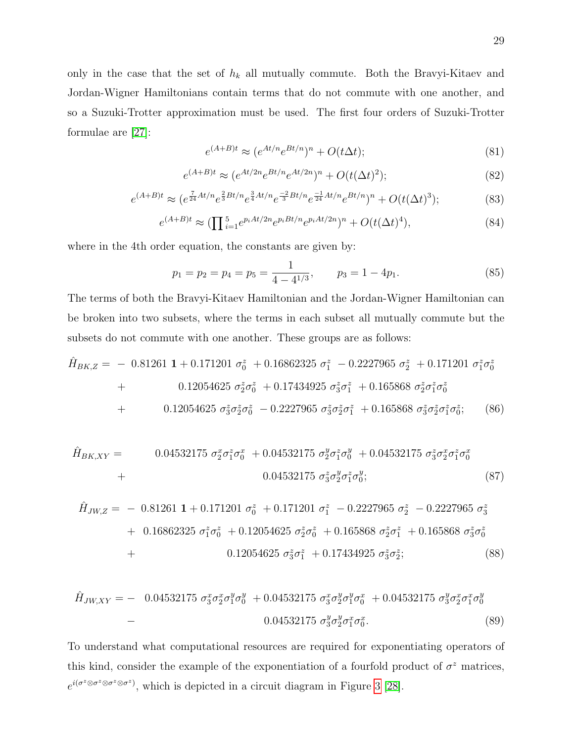only in the case that the set of  $h_k$  all mutually commute. Both the Bravyi-Kitaev and Jordan-Wigner Hamiltonians contain terms that do not commute with one another, and so a Suzuki-Trotter approximation must be used. The first four orders of Suzuki-Trotter formulae are [\[27\]](#page-38-5):

$$
e^{(A+B)t} \approx (e^{At/n}e^{Bt/n})^n + O(t\Delta t); \tag{81}
$$

$$
e^{(A+B)t} \approx (e^{At/2n}e^{Bt/n}e^{At/2n})^n + O(t(\Delta t)^2);
$$
\n(82)

$$
e^{(A+B)t} \approx (e^{\frac{7}{24}At/n}e^{\frac{2}{3}Bt/n}e^{\frac{3}{4}At/n}e^{-2Bt/n}e^{\frac{-1}{24}At/n}e^{Bt/n})^n + O(t(\Delta t)^3);
$$
\n(83)

$$
e^{(A+B)t} \approx (\prod_{i=1}^{5} e^{p_i At/2n} e^{p_i Bt/n} e^{p_i At/2n})^n + O(t(\Delta t)^4), \tag{84}
$$

where in the 4th order equation, the constants are given by:

$$
p_1 = p_2 = p_4 = p_5 = \frac{1}{4 - 4^{1/3}}, \qquad p_3 = 1 - 4p_1. \tag{85}
$$

The terms of both the Bravyi-Kitaev Hamiltonian and the Jordan-Wigner Hamiltonian can be broken into two subsets, where the terms in each subset all mutually commute but the subsets do not commute with one another. These groups are as follows:

$$
\hat{H}_{BK,Z} = -0.81261 \mathbf{1} + 0.171201 \sigma_0^z + 0.16862325 \sigma_1^z - 0.2227965 \sigma_2^z + 0.171201 \sigma_1^z \sigma_0^z \n+ 0.12054625 \sigma_2^z \sigma_0^z + 0.17434925 \sigma_3^z \sigma_1^z + 0.165868 \sigma_2^z \sigma_1^z \sigma_0^z \n+ 0.12054625 \sigma_3^z \sigma_2^z \sigma_0^z - 0.2227965 \sigma_3^z \sigma_2^z \sigma_1^z + 0.165868 \sigma_3^z \sigma_2^z \sigma_1^z \sigma_0^z; \qquad (86)
$$

$$
\hat{H}_{BK,XY} = 0.04532175 \ \sigma_2^x \sigma_1^z \sigma_0^x + 0.04532175 \ \sigma_2^y \sigma_1^z \sigma_0^y + 0.04532175 \ \sigma_3^z \sigma_2^x \sigma_1^z \sigma_0^x
$$
\n
$$
+ 0.04532175 \ \sigma_3^z \sigma_2^y \sigma_1^z \sigma_0^y; \tag{87}
$$

$$
\hat{H}_{JW,Z} = -0.81261 \mathbf{1} + 0.171201 \sigma_0^z + 0.171201 \sigma_1^z - 0.2227965 \sigma_2^z - 0.2227965 \sigma_3^z \n+ 0.16862325 \sigma_1^z \sigma_0^z + 0.12054625 \sigma_2^z \sigma_0^z + 0.165868 \sigma_2^z \sigma_1^z + 0.165868 \sigma_3^z \sigma_0^z \n+ 0.12054625 \sigma_3^z \sigma_1^z + 0.17434925 \sigma_3^z \sigma_2^z; \qquad (88)
$$

$$
\hat{H}_{JW,XY} = -0.04532175 \ \sigma_3^x \sigma_2^x \sigma_1^y \sigma_0^y + 0.04532175 \ \sigma_3^x \sigma_2^y \sigma_1^y \sigma_0^x + 0.04532175 \ \sigma_3^y \sigma_2^x \sigma_1^x \sigma_0^y
$$
\n
$$
-0.04532175 \ \sigma_3^y \sigma_2^y \sigma_1^x \sigma_0^x. \tag{89}
$$

To understand what computational resources are required for exponentiating operators of this kind, consider the example of the exponentiation of a fourfold product of  $\sigma^z$  matrices,  $e^{i(\sigma^z \otimes \sigma^z \otimes \sigma^z)}$ , which is depicted in a circuit diagram in Figure [3](#page-30-0) [\[28\]](#page-38-0).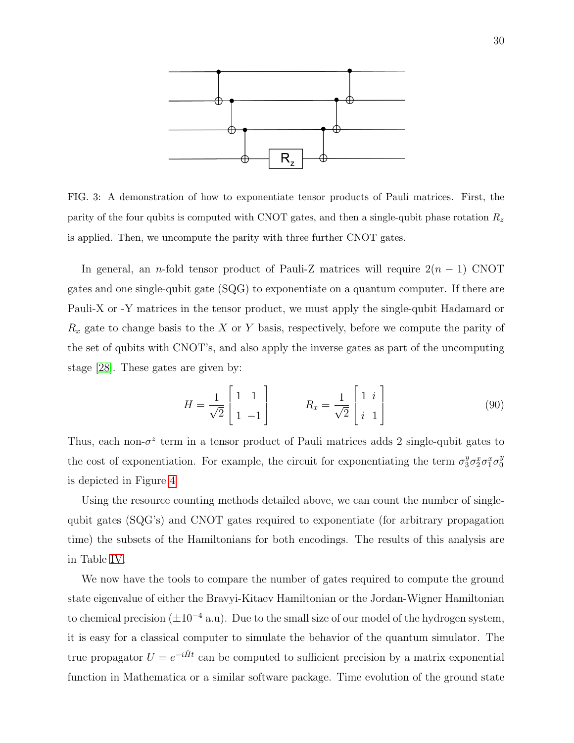

<span id="page-30-0"></span>FIG. 3: A demonstration of how to exponentiate tensor products of Pauli matrices. First, the parity of the four qubits is computed with CNOT gates, and then a single-qubit phase rotation  $R_z$ is applied. Then, we uncompute the parity with three further CNOT gates.

In general, an n-fold tensor product of Pauli-Z matrices will require  $2(n - 1)$  CNOT gates and one single-qubit gate (SQG) to exponentiate on a quantum computer. If there are Pauli-X or -Y matrices in the tensor product, we must apply the single-qubit Hadamard or  $R_x$  gate to change basis to the X or Y basis, respectively, before we compute the parity of the set of qubits with CNOT's, and also apply the inverse gates as part of the uncomputing stage [\[28\]](#page-38-0). These gates are given by:

$$
H = \frac{1}{\sqrt{2}} \begin{bmatrix} 1 & 1 \\ 1 & -1 \end{bmatrix} \qquad R_x = \frac{1}{\sqrt{2}} \begin{bmatrix} 1 & i \\ i & 1 \end{bmatrix} \tag{90}
$$

Thus, each non- $\sigma^z$  term in a tensor product of Pauli matrices adds 2 single-qubit gates to the cost of exponentiation. For example, the circuit for exponentiating the term  $\sigma_3^y \sigma_2^x \sigma_1^x \sigma_0^y$ 0 is depicted in Figure [4](#page-31-0)

Using the resource counting methods detailed above, we can count the number of singlequbit gates (SQG's) and CNOT gates required to exponentiate (for arbitrary propagation time) the subsets of the Hamiltonians for both encodings. The results of this analysis are in Table [IV.](#page-31-1)

We now have the tools to compare the number of gates required to compute the ground state eigenvalue of either the Bravyi-Kitaev Hamiltonian or the Jordan-Wigner Hamiltonian to chemical precision  $(\pm 10^{-4} a.u)$ . Due to the small size of our model of the hydrogen system, it is easy for a classical computer to simulate the behavior of the quantum simulator. The true propagator  $U = e^{-i\hat{H}t}$  can be computed to sufficient precision by a matrix exponential function in Mathematica or a similar software package. Time evolution of the ground state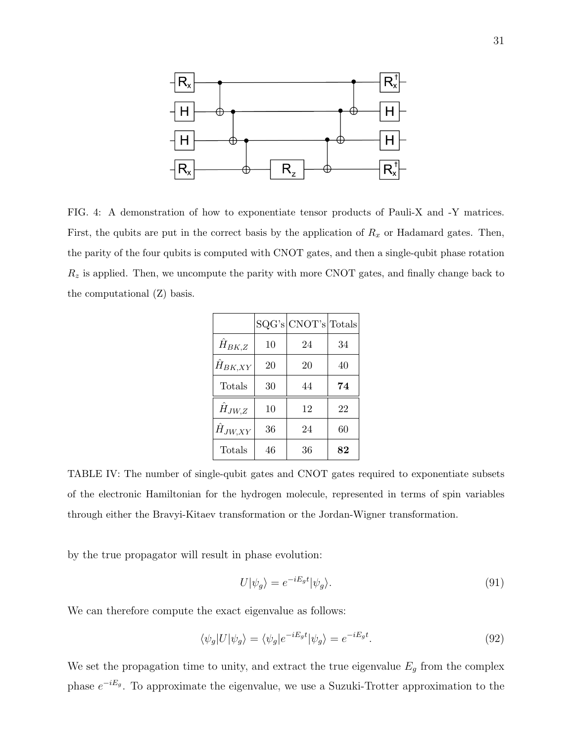

<span id="page-31-0"></span>FIG. 4: A demonstration of how to exponentiate tensor products of Pauli-X and -Y matrices. First, the qubits are put in the correct basis by the application of  $R_x$  or Hadamard gates. Then, the parity of the four qubits is computed with CNOT gates, and then a single-qubit phase rotation  $R_z$  is applied. Then, we uncompute the parity with more CNOT gates, and finally change back to the computational (Z) basis.

|                  |    | SQG's  CNOT's  Totals |    |
|------------------|----|-----------------------|----|
| $\hat{H}_{BK,Z}$ | 10 | 24                    | 34 |
| $H_{BK,XY}$      | 20 | 20                    | 40 |
| Totals           | 30 | 44                    | 74 |
| $\hat{H}_{JW,Z}$ | 10 | 12                    | 22 |
| $H_{JW,XY}$      | 36 | 24                    | 60 |
| Totals           | 46 | 36                    | 82 |

<span id="page-31-1"></span>TABLE IV: The number of single-qubit gates and CNOT gates required to exponentiate subsets of the electronic Hamiltonian for the hydrogen molecule, represented in terms of spin variables through either the Bravyi-Kitaev transformation or the Jordan-Wigner transformation.

by the true propagator will result in phase evolution:

$$
U|\psi_g\rangle = e^{-iE_g t}|\psi_g\rangle.
$$
\n(91)

We can therefore compute the exact eigenvalue as follows:

$$
\langle \psi_g | U | \psi_g \rangle = \langle \psi_g | e^{-iE_g t} | \psi_g \rangle = e^{-iE_g t}.
$$
\n(92)

We set the propagation time to unity, and extract the true eigenvalue  $E_g$  from the complex phase  $e^{-iE_g}$ . To approximate the eigenvalue, we use a Suzuki-Trotter approximation to the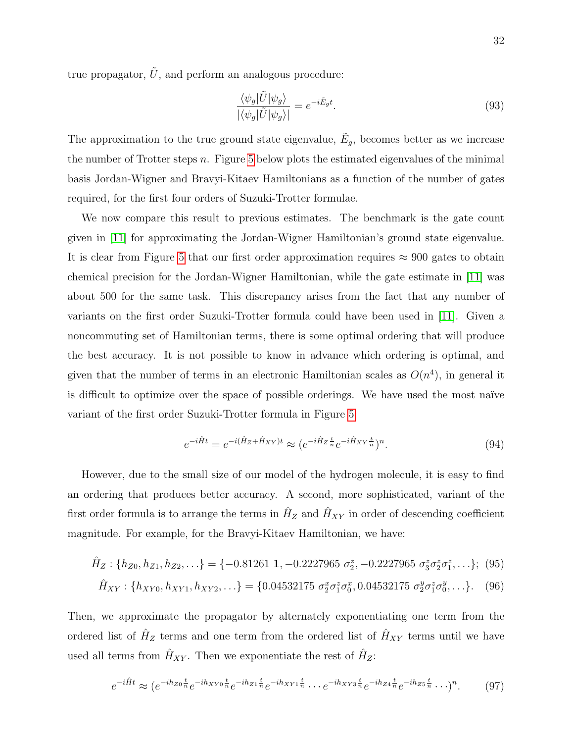true propagator,  $\hat{U}$ , and perform an analogous procedure:

$$
\frac{\langle \psi_g | \tilde{U} | \psi_g \rangle}{|\langle \psi_g | \tilde{U} | \psi_g \rangle|} = e^{-i \tilde{E}_g t}.
$$
\n(93)

The approximation to the true ground state eigenvalue,  $\tilde{E}_g$ , becomes better as we increase the number of Trotter steps n. Figure [5](#page-33-0) below plots the estimated eigenvalues of the minimal basis Jordan-Wigner and Bravyi-Kitaev Hamiltonians as a function of the number of gates required, for the first four orders of Suzuki-Trotter formulae.

We now compare this result to previous estimates. The benchmark is the gate count given in [\[11\]](#page-37-6) for approximating the Jordan-Wigner Hamiltonian's ground state eigenvalue. It is clear from Figure [5](#page-33-0) that our first order approximation requires  $\approx 900$  gates to obtain chemical precision for the Jordan-Wigner Hamiltonian, while the gate estimate in [\[11\]](#page-37-6) was about 500 for the same task. This discrepancy arises from the fact that any number of variants on the first order Suzuki-Trotter formula could have been used in [\[11\]](#page-37-6). Given a noncommuting set of Hamiltonian terms, there is some optimal ordering that will produce the best accuracy. It is not possible to know in advance which ordering is optimal, and given that the number of terms in an electronic Hamiltonian scales as  $O(n^4)$ , in general it is difficult to optimize over the space of possible orderings. We have used the most naïve variant of the first order Suzuki-Trotter formula in Figure [5:](#page-33-0)

$$
e^{-i\hat{H}t} = e^{-i(\hat{H}_Z + \hat{H}_{XY})t} \approx (e^{-i\hat{H}_Z \frac{t}{n}} e^{-i\hat{H}_{XY} \frac{t}{n}})^n.
$$
\n(94)

However, due to the small size of our model of the hydrogen molecule, it is easy to find an ordering that produces better accuracy. A second, more sophisticated, variant of the first order formula is to arrange the terms in  $\hat{H}_Z$  and  $\hat{H}_{XY}$  in order of descending coefficient magnitude. For example, for the Bravyi-Kitaev Hamiltonian, we have:

$$
\hat{H}_Z: \{h_{Z0}, h_{Z1}, h_{Z2}, \ldots\} = \{-0.81261 \text{ 1}, -0.2227965 \sigma_2^z, -0.2227965 \sigma_3^z \sigma_2^z \sigma_1^z, \ldots\}; \tag{95}
$$
\n
$$
\hat{H}_{XY}: \{h_{XY0}, h_{XY1}, h_{XYZ}, \ldots\} = \{0.04532175 \sigma_2^x \sigma_1^z \sigma_0^x, 0.04532175 \sigma_2^y \sigma_1^z \sigma_0^y, \ldots\}. \tag{96}
$$

Then, we approximate the propagator by alternately exponentiating one term from the ordered list of  $\hat{H}_Z$  terms and one term from the ordered list of  $\hat{H}_{XY}$  terms until we have used all terms from  $\hat{H}_{XY}$ . Then we exponentiate the rest of  $\hat{H}_Z$ :

$$
e^{-i\hat{H}t} \approx (e^{-ih_{Z0}\frac{t}{n}}e^{-ih_{XY0}\frac{t}{n}}e^{-ih_{Z1}\frac{t}{n}}e^{-ih_{XY1}\frac{t}{n}}\cdots e^{-ih_{XY3}\frac{t}{n}}e^{-ih_{Z4}\frac{t}{n}}e^{-ih_{Z5}\frac{t}{n}}\cdots)^n. \tag{97}
$$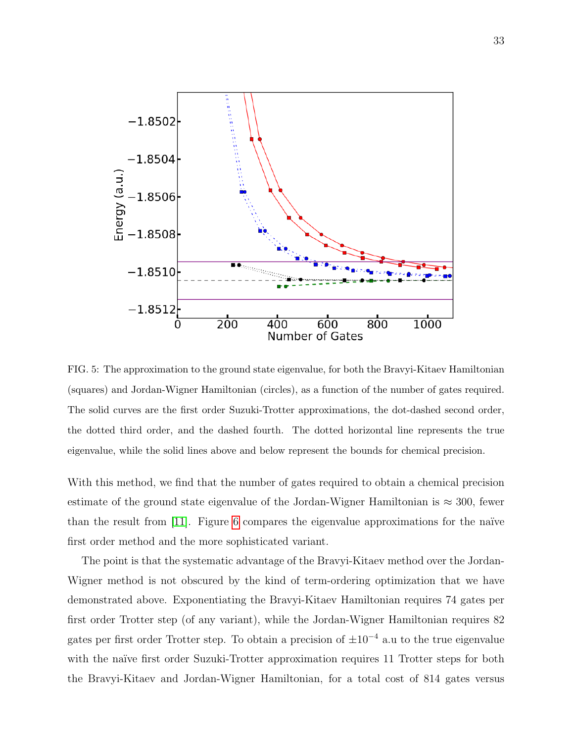

<span id="page-33-0"></span>FIG. 5: The approximation to the ground state eigenvalue, for both the Bravyi-Kitaev Hamiltonian (squares) and Jordan-Wigner Hamiltonian (circles), as a function of the number of gates required. The solid curves are the first order Suzuki-Trotter approximations, the dot-dashed second order, the dotted third order, and the dashed fourth. The dotted horizontal line represents the true eigenvalue, while the solid lines above and below represent the bounds for chemical precision.

With this method, we find that the number of gates required to obtain a chemical precision estimate of the ground state eigenvalue of the Jordan-Wigner Hamiltonian is  $\approx 300$ , fewer than the result from [\[11\]](#page-37-6). Figure [6](#page-34-0) compares the eigenvalue approximations for the naïve first order method and the more sophisticated variant.

The point is that the systematic advantage of the Bravyi-Kitaev method over the Jordan-Wigner method is not obscured by the kind of term-ordering optimization that we have demonstrated above. Exponentiating the Bravyi-Kitaev Hamiltonian requires 74 gates per first order Trotter step (of any variant), while the Jordan-Wigner Hamiltonian requires 82 gates per first order Trotter step. To obtain a precision of  $\pm 10^{-4}$  a.u to the true eigenvalue with the naïve first order Suzuki-Trotter approximation requires 11 Trotter steps for both the Bravyi-Kitaev and Jordan-Wigner Hamiltonian, for a total cost of 814 gates versus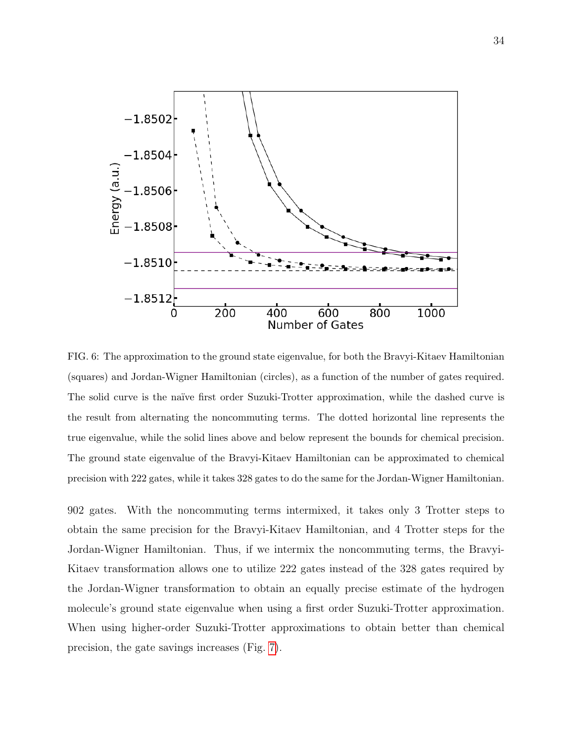

<span id="page-34-0"></span>FIG. 6: The approximation to the ground state eigenvalue, for both the Bravyi-Kitaev Hamiltonian (squares) and Jordan-Wigner Hamiltonian (circles), as a function of the number of gates required. The solid curve is the naïve first order Suzuki-Trotter approximation, while the dashed curve is the result from alternating the noncommuting terms. The dotted horizontal line represents the true eigenvalue, while the solid lines above and below represent the bounds for chemical precision. The ground state eigenvalue of the Bravyi-Kitaev Hamiltonian can be approximated to chemical precision with 222 gates, while it takes 328 gates to do the same for the Jordan-Wigner Hamiltonian.

902 gates. With the noncommuting terms intermixed, it takes only 3 Trotter steps to obtain the same precision for the Bravyi-Kitaev Hamiltonian, and 4 Trotter steps for the Jordan-Wigner Hamiltonian. Thus, if we intermix the noncommuting terms, the Bravyi-Kitaev transformation allows one to utilize 222 gates instead of the 328 gates required by the Jordan-Wigner transformation to obtain an equally precise estimate of the hydrogen molecule's ground state eigenvalue when using a first order Suzuki-Trotter approximation. When using higher-order Suzuki-Trotter approximations to obtain better than chemical precision, the gate savings increases (Fig. [7\)](#page-35-0).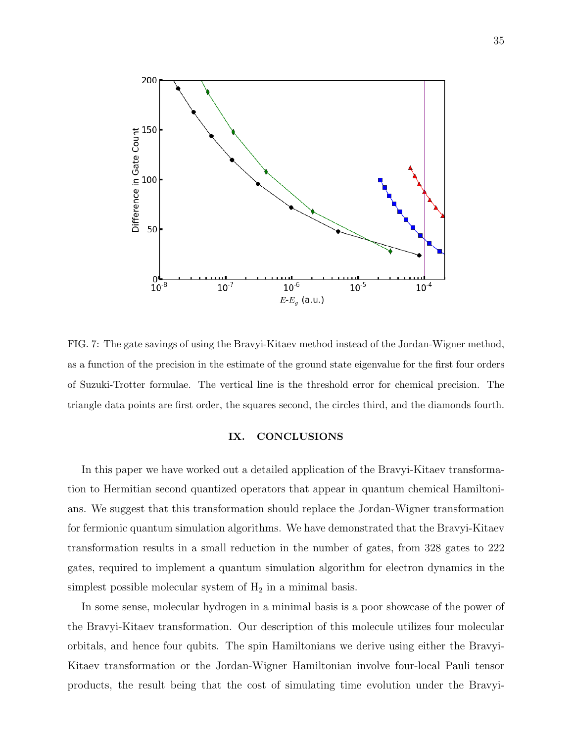

<span id="page-35-0"></span>FIG. 7: The gate savings of using the Bravyi-Kitaev method instead of the Jordan-Wigner method, as a function of the precision in the estimate of the ground state eigenvalue for the first four orders of Suzuki-Trotter formulae. The vertical line is the threshold error for chemical precision. The triangle data points are first order, the squares second, the circles third, and the diamonds fourth.

### IX. CONCLUSIONS

In this paper we have worked out a detailed application of the Bravyi-Kitaev transformation to Hermitian second quantized operators that appear in quantum chemical Hamiltonians. We suggest that this transformation should replace the Jordan-Wigner transformation for fermionic quantum simulation algorithms. We have demonstrated that the Bravyi-Kitaev transformation results in a small reduction in the number of gates, from 328 gates to 222 gates, required to implement a quantum simulation algorithm for electron dynamics in the simplest possible molecular system of  $H_2$  in a minimal basis.

In some sense, molecular hydrogen in a minimal basis is a poor showcase of the power of the Bravyi-Kitaev transformation. Our description of this molecule utilizes four molecular orbitals, and hence four qubits. The spin Hamiltonians we derive using either the Bravyi-Kitaev transformation or the Jordan-Wigner Hamiltonian involve four-local Pauli tensor products, the result being that the cost of simulating time evolution under the Bravyi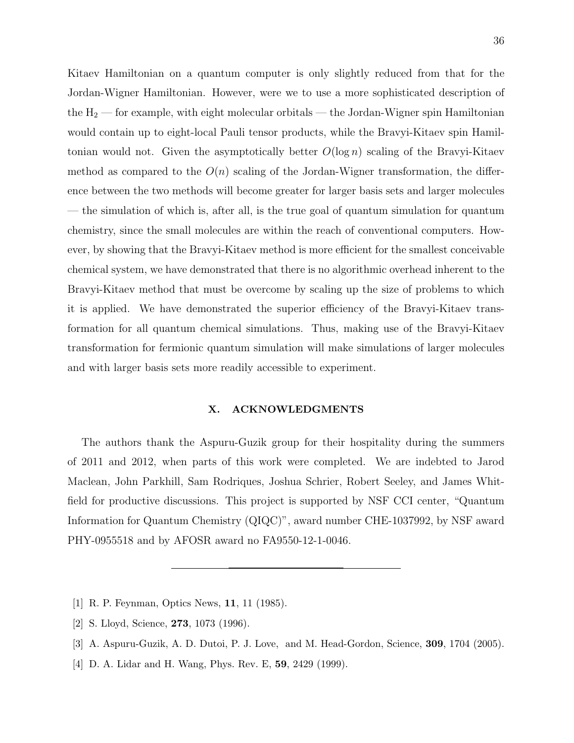Kitaev Hamiltonian on a quantum computer is only slightly reduced from that for the Jordan-Wigner Hamiltonian. However, were we to use a more sophisticated description of the  $H_2$  — for example, with eight molecular orbitals — the Jordan-Wigner spin Hamiltonian would contain up to eight-local Pauli tensor products, while the Bravyi-Kitaev spin Hamiltonian would not. Given the asymptotically better  $O(\log n)$  scaling of the Bravyi-Kitaev method as compared to the  $O(n)$  scaling of the Jordan-Wigner transformation, the difference between the two methods will become greater for larger basis sets and larger molecules — the simulation of which is, after all, is the true goal of quantum simulation for quantum chemistry, since the small molecules are within the reach of conventional computers. However, by showing that the Bravyi-Kitaev method is more efficient for the smallest conceivable chemical system, we have demonstrated that there is no algorithmic overhead inherent to the Bravyi-Kitaev method that must be overcome by scaling up the size of problems to which it is applied. We have demonstrated the superior efficiency of the Bravyi-Kitaev transformation for all quantum chemical simulations. Thus, making use of the Bravyi-Kitaev transformation for fermionic quantum simulation will make simulations of larger molecules and with larger basis sets more readily accessible to experiment.

### X. ACKNOWLEDGMENTS

The authors thank the Aspuru-Guzik group for their hospitality during the summers of 2011 and 2012, when parts of this work were completed. We are indebted to Jarod Maclean, John Parkhill, Sam Rodriques, Joshua Schrier, Robert Seeley, and James Whitfield for productive discussions. This project is supported by NSF CCI center, "Quantum Information for Quantum Chemistry (QIQC)", award number CHE-1037992, by NSF award PHY-0955518 and by AFOSR award no FA9550-12-1-0046.

- <span id="page-36-1"></span><span id="page-36-0"></span>[1] R. P. Feynman, Optics News, 11, 11 (1985).
- <span id="page-36-2"></span>[2] S. Lloyd, Science, 273, 1073 (1996).
- <span id="page-36-3"></span>[3] A. Aspuru-Guzik, A. D. Dutoi, P. J. Love, and M. Head-Gordon, Science, 309, 1704 (2005).
- [4] D. A. Lidar and H. Wang, Phys. Rev. E, 59, 2429 (1999).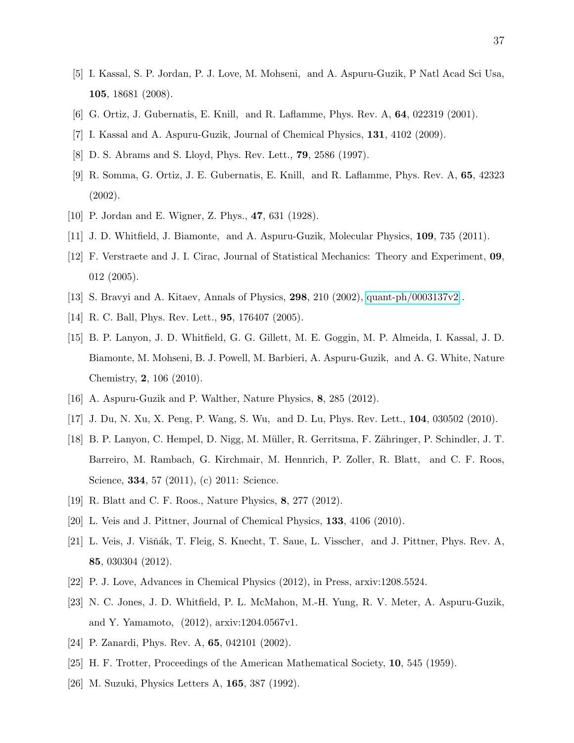- <span id="page-37-0"></span>[5] I. Kassal, S. P. Jordan, P. J. Love, M. Mohseni, and A. Aspuru-Guzik, P Natl Acad Sci Usa, 105, 18681 (2008).
- <span id="page-37-2"></span><span id="page-37-1"></span>[6] G. Ortiz, J. Gubernatis, E. Knill, and R. Laflamme, Phys. Rev. A, 64, 022319 (2001).
- <span id="page-37-3"></span>[7] I. Kassal and A. Aspuru-Guzik, Journal of Chemical Physics, 131, 4102 (2009).
- <span id="page-37-4"></span>[8] D. S. Abrams and S. Lloyd, Phys. Rev. Lett., 79, 2586 (1997).
- [9] R. Somma, G. Ortiz, J. E. Gubernatis, E. Knill, and R. Laflamme, Phys. Rev. A, 65, 42323 (2002).
- <span id="page-37-6"></span><span id="page-37-5"></span>[10] P. Jordan and E. Wigner, Z. Phys., 47, 631 (1928).
- <span id="page-37-7"></span>[11] J. D. Whitfield, J. Biamonte, and A. Aspuru-Guzik, Molecular Physics, 109, 735 (2011).
- [12] F. Verstraete and J. I. Cirac, Journal of Statistical Mechanics: Theory and Experiment, 09, 012 (2005).
- <span id="page-37-9"></span><span id="page-37-8"></span>[13] S. Bravyi and A. Kitaev, Annals of Physics, **298**, 210 (2002), [quant-ph/0003137v2](http://arxiv.org/abs/quant-ph/0003137v2).
- <span id="page-37-10"></span>[14] R. C. Ball, Phys. Rev. Lett., **95**, 176407 (2005).
- [15] B. P. Lanyon, J. D. Whitfield, G. G. Gillett, M. E. Goggin, M. P. Almeida, I. Kassal, J. D. Biamonte, M. Mohseni, B. J. Powell, M. Barbieri, A. Aspuru-Guzik, and A. G. White, Nature Chemistry, 2, 106 (2010).
- <span id="page-37-12"></span><span id="page-37-11"></span>[16] A. Aspuru-Guzik and P. Walther, Nature Physics, 8, 285 (2012).
- <span id="page-37-13"></span>[17] J. Du, N. Xu, X. Peng, P. Wang, S. Wu, and D. Lu, Phys. Rev. Lett., 104, 030502 (2010).
- [18] B. P. Lanyon, C. Hempel, D. Nigg, M. M¨uller, R. Gerritsma, F. Z¨ahringer, P. Schindler, J. T. Barreiro, M. Rambach, G. Kirchmair, M. Hennrich, P. Zoller, R. Blatt, and C. F. Roos, Science, **334**, 57 (2011), (c) 2011: Science.
- <span id="page-37-15"></span><span id="page-37-14"></span>[19] R. Blatt and C. F. Roos., Nature Physics, 8, 277 (2012).
- <span id="page-37-16"></span>[20] L. Veis and J. Pittner, Journal of Chemical Physics, 133, 4106 (2010).
- [21] L. Veis, J. Višňák, T. Fleig, S. Knecht, T. Saue, L. Visscher, and J. Pittner, Phys. Rev. A, 85, 030304 (2012).
- <span id="page-37-18"></span><span id="page-37-17"></span>[22] P. J. Love, Advances in Chemical Physics (2012), in Press, arxiv:1208.5524.
- [23] N. C. Jones, J. D. Whitfield, P. L. McMahon, M.-H. Yung, R. V. Meter, A. Aspuru-Guzik, and Y. Yamamoto, (2012), arxiv:1204.0567v1.
- <span id="page-37-20"></span><span id="page-37-19"></span>[24] P. Zanardi, Phys. Rev. A, **65**, 042101 (2002).
- [25] H. F. Trotter, Proceedings of the American Mathematical Society, 10, 545 (1959).
- [26] M. Suzuki, Physics Letters A, 165, 387 (1992).